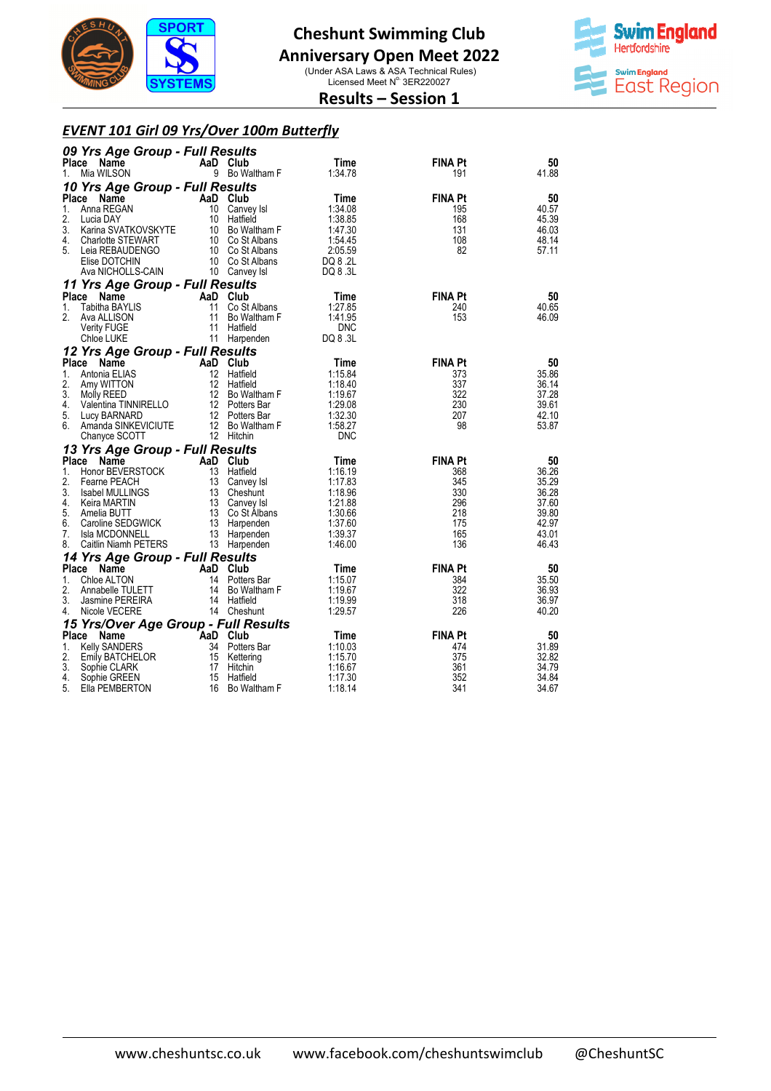

### **Anniversary Open Meet 2022**

(Under ASA Laws & ASA Technical Rules)<br>Licensed Meet N° 3ER220027



#### **Results – Session 1**

#### *EVENT 101 Girl 09 Yrs/Over 100m Butterfly*

|              | 09 Yrs Age Group - Full Results                                                                                                |                       |                                  |                       |                |                |  |  |
|--------------|--------------------------------------------------------------------------------------------------------------------------------|-----------------------|----------------------------------|-----------------------|----------------|----------------|--|--|
| Place        | Name                                                                                                                           |                       | AaD Club                         | Time                  | <b>FINA Pt</b> | 50             |  |  |
| 1.           | Mia WILSON                                                                                                                     |                       | 9 Bo Waltham F                   | 1:34.78               | 191            | 41.88          |  |  |
|              | 10 Yrs Age Group - Full Results                                                                                                |                       |                                  |                       |                |                |  |  |
| Place        | Name                                                                                                                           | AaD Club              |                                  | Time                  | <b>FINA Pt</b> | 50             |  |  |
| 1.<br>2.     | Anna REGAN                                                                                                                     | 10                    | Canvey Isl<br>10 Hatfield        | 1:34.08<br>1:38.85    | 195<br>168     | 40.57<br>45.39 |  |  |
| 3.           | Lucia DAY<br>Karina SVATKOVSKYTE                                                                                               |                       | 10 Bo Waltham F                  | 1:47.30               | 131            | 46.03          |  |  |
| 4.           | <b>Charlotte STEWART</b>                                                                                                       |                       | 10 Co St Albans                  | 1:54.45               | 108            | 48.14          |  |  |
| 5.           | Leia REBAUDENGO                                                                                                                |                       | 10 Co St Albans                  | 2:05.59               | 82             | 57.11          |  |  |
|              | Elise DOTCHIN                                                                                                                  |                       | 10 Co St Albans                  | DQ 8 .2L              |                |                |  |  |
|              | Ava NICHOLLS-CAIN                                                                                                              |                       | 10 Canvey Isl                    | DQ 8 .3L              |                |                |  |  |
|              | 11 Yrs Age Group - Full Results                                                                                                |                       |                                  |                       |                |                |  |  |
|              | Place Name                                                                                                                     | AaD Club              |                                  | Time                  | <b>FINA Pt</b> | 50             |  |  |
| 1.           | Tabitha BAYLIS                                                                                                                 | 11                    | Co St Albans                     | 1:27.85               | 240<br>153     | 40.65          |  |  |
| 2.           | Ava ALLISON<br>Verity FUGE                                                                                                     | 11<br>11              | Bo Waltham F<br>Hatfield         | 1:41.95<br><b>DNC</b> |                | 46.09          |  |  |
|              | Chloe LUKE                                                                                                                     |                       | 11 Harpenden                     | DQ 8 .3L              |                |                |  |  |
|              | 12 Yrs Age Group - Full Results                                                                                                |                       |                                  |                       |                |                |  |  |
|              | Place Name                                                                                                                     |                       | AaD Club                         | Time                  | <b>FINA Pt</b> | 50             |  |  |
| 1.           | Antonia ELIAS                                                                                                                  |                       | 12 Hatfield                      | 1:15.84               | 373            | 35.86          |  |  |
| 2.           | Amy WITTON                                                                                                                     |                       | 12 Hatfield                      | 1:18.40               | 337            | 36.14          |  |  |
| 3.           | Amy WITTON<br>Molly REED 12 Bo Waltham F<br>Valentina TINNIRELLO 12 Potters Bar<br>Lucy BARNARD 12 Potters Bar<br>13 Weltham F |                       |                                  | 1:19.67               | 322            | 37.28          |  |  |
| 4.<br>5.     |                                                                                                                                |                       |                                  | 1:29.08<br>1:32.30    | 230<br>207     | 39.61<br>42.10 |  |  |
| 6.           | Amanda SINKEVICIUTE                                                                                                            |                       |                                  | 1:58.27               | 98             | 53.87          |  |  |
|              | Chanyce SCOTT                                                                                                                  |                       | 12 Bo Waltham F<br>12 Hitchin    | <b>DNC</b>            |                |                |  |  |
|              | 13 Yrs Age Group - Full Results                                                                                                |                       |                                  |                       |                |                |  |  |
| <b>Place</b> | Name                                                                                                                           | AaD Club              |                                  | Time                  | <b>FINA Pt</b> | 50             |  |  |
| 1.           | Honor BEVERSTOCK                                                                                                               |                       | 13 Hatfield                      | 1:16.19               | 368            | 36.26          |  |  |
| 2.           | Fearne PEACH                                                                                                                   |                       | 13 Canvey Isl                    | 1:17.83               | 345            | 35.29          |  |  |
| 3.           | Isabel MULLINGS                                                                                                                |                       | 13 Cheshunt                      | 1:18.96               | 330            | 36.28          |  |  |
| 4.<br>5.     | Keira MARTIN<br>Amelia BUTT                                                                                                    |                       | 13 Canvey Isl<br>13 Co St Albans | 1:21.88<br>1:30.66    | 296<br>218     | 37.60<br>39.80 |  |  |
| 6.           | Caroline SEDGWICK                                                                                                              |                       | 13 Harpenden                     | 1:37.60               | 175            | 42.97          |  |  |
| 7.           | Isla MCDONNELL                                                                                                                 |                       | 13 Harpenden                     | 1:39.37               | 165            | 43.01          |  |  |
| 8.           | Caitlin Niamh PETERS                                                                                                           |                       | 13 Harpenden                     | 1:46.00               | 136            | 46.43          |  |  |
|              | 14 Yrs Age Group - Full Results                                                                                                |                       |                                  |                       |                |                |  |  |
|              | Place Name                                                                                                                     | AaD Club              |                                  | Time                  | <b>FINA Pt</b> | 50             |  |  |
| 1.           | Chloe ALTON                                                                                                                    |                       | 14 Potters Bar                   | 1:15.07               | 384            | 35.50          |  |  |
| 2.<br>3.     | Annabelle TULETT<br>Jasmine PEREIRA                                                                                            |                       | 14 Bo Waltham F<br>14 Hatfield   | 1:19.67<br>1:19.99    | 322<br>318     | 36.93<br>36.97 |  |  |
| 4.           | Nicole VECERE                                                                                                                  |                       | 14 Cheshunt                      | 1:29.57               | 226            | 40.20          |  |  |
|              | 15 Yrs/Over Age Group - Full Results                                                                                           |                       |                                  |                       |                |                |  |  |
| Place        | Name                                                                                                                           |                       |                                  | Time                  | <b>FINA Pt</b> | 50             |  |  |
| 1.           | <b>Kelly SANDERS</b>                                                                                                           | AaD Club<br>34 Potter | 34 Potters Bar                   | 1:10.03               | 474            | 31.89          |  |  |
| 2.           | Emily BATCHELOR                                                                                                                |                       | 15 Kettering                     | 1:15.70               | 375            | 32.82          |  |  |
| 3.           | Sophie CLARK                                                                                                                   | 17                    | Hitchin                          | 1:16.67               | 361            | 34.79          |  |  |
| 4.<br>5.     | Sophie GREEN<br>Ella PEMBERTON                                                                                                 | 15<br>16              | Hatfield<br>Bo Waltham F         | 1:17.30<br>1:18.14    | 352<br>341     | 34.84<br>34.67 |  |  |
|              |                                                                                                                                |                       |                                  |                       |                |                |  |  |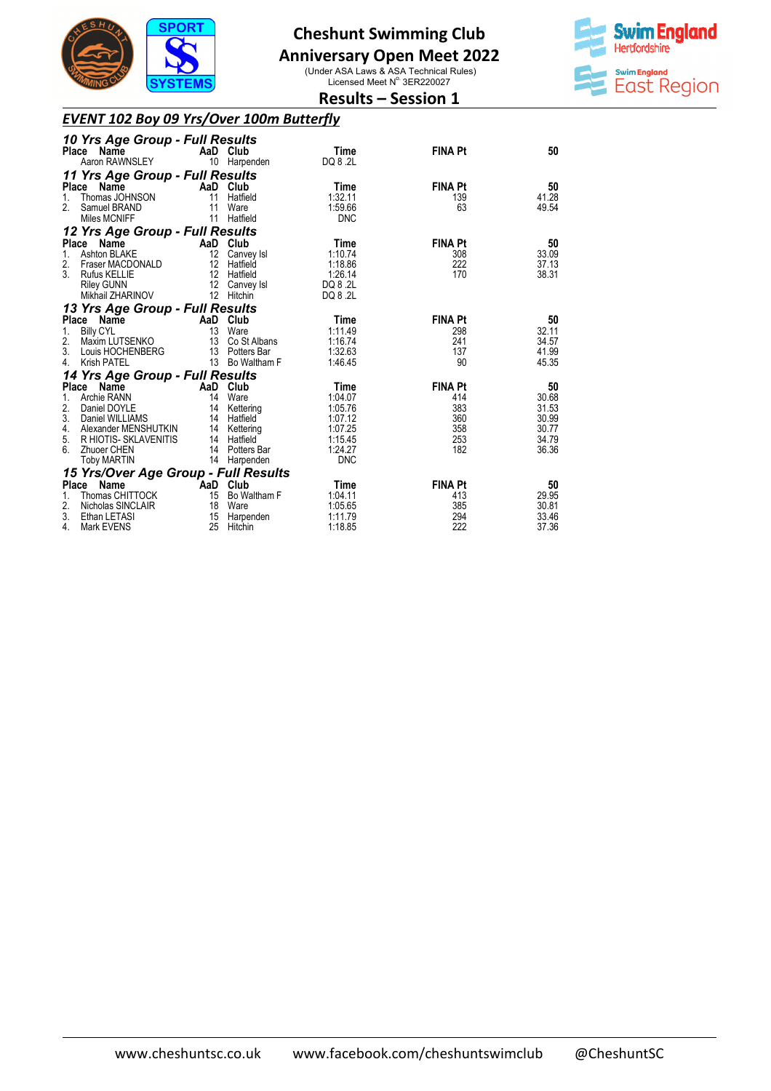

## **Anniversary Open Meet 2022**

(Under ASA Laws & ASA Technical Rules)<br>Licensed Meet N° 3ER220027 **Results – Session 1** 



#### *EVENT 102 Boy 09 Yrs/Over 100m Butterfly*

|                                                  | 10 Yrs Age Group - Full Results<br>Place<br>Name                                                                                             |                                               | AaD Club                                                                                               | Time                                                                                 | <b>FINA Pt</b>                                           | 50                                                       |
|--------------------------------------------------|----------------------------------------------------------------------------------------------------------------------------------------------|-----------------------------------------------|--------------------------------------------------------------------------------------------------------|--------------------------------------------------------------------------------------|----------------------------------------------------------|----------------------------------------------------------|
|                                                  | Aaron RAWNSLEY                                                                                                                               |                                               | 10 Harpenden                                                                                           | DQ 8 .2L                                                                             |                                                          |                                                          |
| 1.<br>2.                                         | 11 Yrs Age Group - Full Results<br>Place Name<br>Thomas JOHNSON<br>Samuel BRAND<br>Miles MCNIFF                                              | AaD<br>11<br>11<br>11                         | Club<br>Hatfield<br>Ware<br>Hatfield                                                                   | Time<br>1:32.11<br>1:59.66<br><b>DNC</b>                                             | <b>FINA Pt</b><br>139<br>63                              | 50<br>41.28<br>49.54                                     |
|                                                  | 12 Yrs Age Group - Full Results                                                                                                              |                                               |                                                                                                        |                                                                                      |                                                          |                                                          |
| 1.<br>2.<br>3.                                   | Place Name<br>Ashton BLAKE<br>Fraser MACDONALD<br><b>Rufus KELLIE</b><br><b>Riley GUNN</b><br>Mikhail ZHARINOV                               | 12<br>12                                      | AaD Club<br>Canvey Isl<br>12 Hatfield<br>12 Hatfield<br>12 Canvey Isl<br>Hitchin                       | Time<br>1:10.74<br>1:18.86<br>1:26.14<br>DQ 8 .2L<br>DQ 8 .2L                        | <b>FINA Pt</b><br>308<br>222<br>170                      | 50<br>33.09<br>37.13<br>38.31                            |
|                                                  | 13 Yrs Age Group - Full Results                                                                                                              |                                               |                                                                                                        |                                                                                      |                                                          |                                                          |
| 1.<br>2.<br>3.<br>4.                             | Place Name<br><b>Billy CYL</b><br>Maxim LUTSENKO<br>Louis HOCHENBERG<br><b>Krish PATEL</b>                                                   | AaD Club<br>13                                | Ware<br>13 Co St Albans<br>13 Potters Bar<br>13 Bo Waltham F                                           | Time<br>1:11.49<br>1:16.74<br>1:32.63<br>1:46.45                                     | <b>FINA Pt</b><br>298<br>241<br>137<br>90                | 50<br>32.11<br>34.57<br>41.99<br>45.35                   |
|                                                  | 14 Yrs Age Group - Full Results                                                                                                              |                                               |                                                                                                        |                                                                                      |                                                          |                                                          |
| <b>Place</b><br>1.<br>2.<br>3.<br>4.<br>5.<br>6. | Name<br>Archie RANN<br>Daniel DOYLE<br>Daniel WILLIAMS<br>Alexander MENSHUTKIN<br>R HIOTIS- SKLAVENITIS<br>Zhuoer CHEN<br><b>Toby MARTIN</b> | AaD<br>14<br>14<br>14                         | Club<br>Ware<br>Kettering<br>14 Hatfield<br>14 Kettering<br>14 Hatfield<br>14 Potters Bar<br>Harpenden | Time<br>1:04.07<br>1:05.76<br>1:07.12<br>1:07.25<br>1:15.45<br>1:24.27<br><b>DNC</b> | <b>FINA Pt</b><br>414<br>383<br>360<br>358<br>253<br>182 | 50<br>30.68<br>31.53<br>30.99<br>30.77<br>34.79<br>36.36 |
|                                                  | 15 Yrs/Over Age Group - Full Results                                                                                                         |                                               |                                                                                                        |                                                                                      |                                                          |                                                          |
| <b>Place</b><br>1.<br>2.<br>3.<br>4.             | Name<br>Thomas CHITTOCK<br>Nicholas SINCLAIR<br>Ethan LETASI<br><b>Mark EVENS</b>                                                            | AaD Club <sup>-</sup><br>15<br>18<br>15<br>25 | Bo Waltham F<br>Ware<br>Harpenden<br>Hitchin                                                           | Time<br>1:04.11<br>1:05.65<br>1:11.79<br>1:18.85                                     | <b>FINA Pt</b><br>413<br>385<br>294<br>222               | 50<br>29.95<br>30.81<br>33.46<br>37.36                   |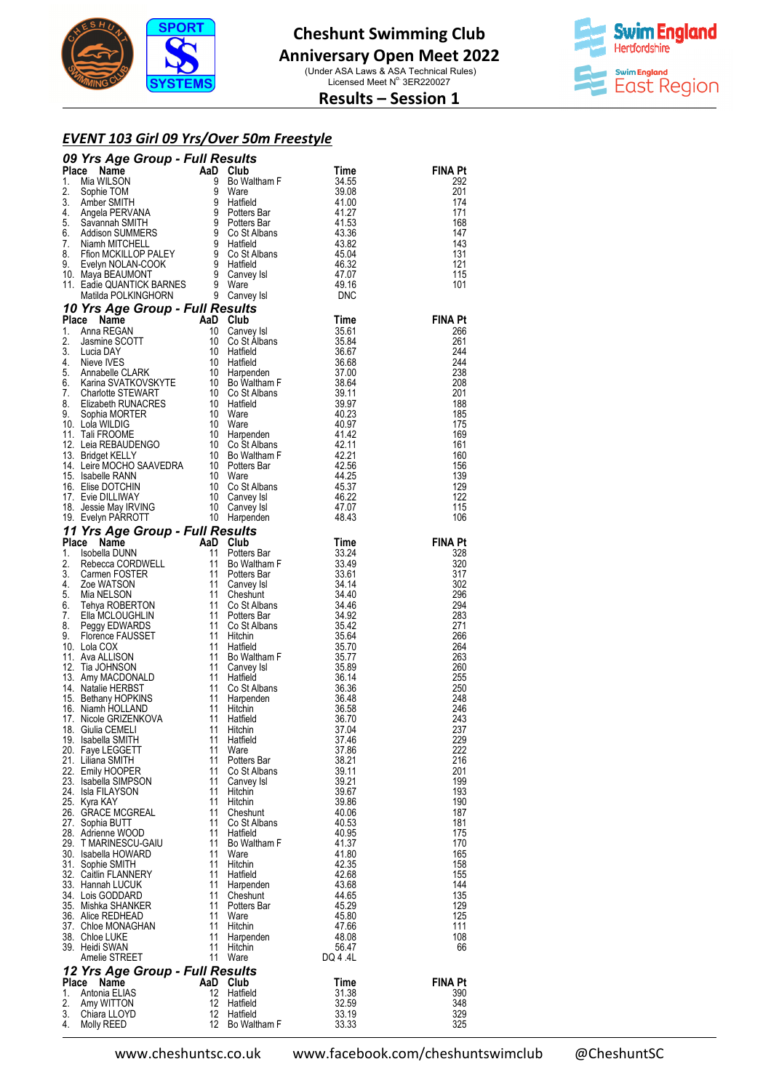



**Results – Session 1** 

#### *EVENT 103 Girl 09 Yrs/Over 50m Freestyle*

| <b>90 Yrs Age Group - Full Results</b> Times III The Salts<br>Place Mamne Coup - Full Results of the Salts of the Salts of the Salts of the Salts of the Salts of the Salts of the Salts of the Salts of the Salts of the Salts of th |          |                             |                |                       |
|---------------------------------------------------------------------------------------------------------------------------------------------------------------------------------------------------------------------------------------|----------|-----------------------------|----------------|-----------------------|
|                                                                                                                                                                                                                                       |          |                             |                |                       |
|                                                                                                                                                                                                                                       |          |                             |                |                       |
|                                                                                                                                                                                                                                       |          |                             |                |                       |
|                                                                                                                                                                                                                                       |          |                             |                |                       |
|                                                                                                                                                                                                                                       |          |                             |                |                       |
|                                                                                                                                                                                                                                       |          |                             |                |                       |
|                                                                                                                                                                                                                                       |          |                             |                |                       |
|                                                                                                                                                                                                                                       |          |                             |                |                       |
|                                                                                                                                                                                                                                       |          |                             |                |                       |
|                                                                                                                                                                                                                                       |          |                             |                |                       |
|                                                                                                                                                                                                                                       |          |                             |                |                       |
|                                                                                                                                                                                                                                       |          |                             |                |                       |
|                                                                                                                                                                                                                                       |          |                             |                |                       |
|                                                                                                                                                                                                                                       |          |                             |                |                       |
|                                                                                                                                                                                                                                       |          |                             |                |                       |
|                                                                                                                                                                                                                                       |          |                             |                |                       |
|                                                                                                                                                                                                                                       |          |                             |                |                       |
|                                                                                                                                                                                                                                       |          |                             |                |                       |
|                                                                                                                                                                                                                                       |          |                             |                |                       |
|                                                                                                                                                                                                                                       |          |                             |                |                       |
|                                                                                                                                                                                                                                       |          |                             |                |                       |
|                                                                                                                                                                                                                                       |          |                             |                |                       |
|                                                                                                                                                                                                                                       |          |                             |                |                       |
|                                                                                                                                                                                                                                       |          |                             |                |                       |
|                                                                                                                                                                                                                                       |          |                             |                |                       |
|                                                                                                                                                                                                                                       |          |                             |                |                       |
|                                                                                                                                                                                                                                       |          |                             |                |                       |
|                                                                                                                                                                                                                                       |          |                             |                |                       |
|                                                                                                                                                                                                                                       |          |                             |                |                       |
|                                                                                                                                                                                                                                       |          |                             |                |                       |
|                                                                                                                                                                                                                                       |          |                             |                |                       |
|                                                                                                                                                                                                                                       |          |                             |                |                       |
|                                                                                                                                                                                                                                       |          |                             |                |                       |
|                                                                                                                                                                                                                                       |          |                             |                |                       |
|                                                                                                                                                                                                                                       |          |                             |                |                       |
|                                                                                                                                                                                                                                       |          |                             |                |                       |
|                                                                                                                                                                                                                                       |          |                             |                |                       |
|                                                                                                                                                                                                                                       |          |                             |                |                       |
|                                                                                                                                                                                                                                       |          |                             |                |                       |
|                                                                                                                                                                                                                                       |          |                             |                |                       |
|                                                                                                                                                                                                                                       |          |                             |                |                       |
|                                                                                                                                                                                                                                       |          |                             |                |                       |
|                                                                                                                                                                                                                                       |          |                             |                |                       |
|                                                                                                                                                                                                                                       |          |                             |                |                       |
| 19. Isabella SMITH                                                                                                                                                                                                                    | 11       | Hatfield                    | 37.46          | 229                   |
| 20. Faye LEGGETT                                                                                                                                                                                                                      | 11       | Ware                        | 37.86          | 222                   |
| 21. Liliana SMITH<br>22. Emily HOOPER                                                                                                                                                                                                 | 11<br>11 | Potters Bar<br>Co St Albans | 38.21<br>39.11 | 216<br>201            |
| 23. Isabella SIMPSON                                                                                                                                                                                                                  | 11       | Canvey Isl                  | 39.21          | 199                   |
| 24. Isla FILAYSON                                                                                                                                                                                                                     | 11       | Hitchin                     | 39.67          | 193                   |
| 25. Kyra KAY                                                                                                                                                                                                                          | 11       | Hitchin                     | 39.86          | 190                   |
| 26.   GRACE MCGREAL<br>27. Sophia BUTT                                                                                                                                                                                                | 11<br>11 | Cheshunt<br>Co St Albans    | 40.06<br>40.53 | 187<br>181            |
| 28. Adrienne WOOD                                                                                                                                                                                                                     | 11       | Hatfield                    | 40.95          | 175                   |
| 29. TMARINESCU-GAIU                                                                                                                                                                                                                   | 11       | Bo Waltham F                | 41.37          | 170                   |
| 30. Isabella HOWARD                                                                                                                                                                                                                   | 11       | Ware                        | 41.80          | 165                   |
| 31. Sophie SMITH<br>32. Caitlin FLANNERY                                                                                                                                                                                              | 11<br>11 | Hitchin<br>Hatfield         | 42.35<br>42.68 | 158<br>155            |
| 33. Hannah LUCUK                                                                                                                                                                                                                      | 11       | Harpenden                   | 43.68          | 144                   |
| 34. Lois GODDARD                                                                                                                                                                                                                      |          | 11 Cheshunt                 | 44.65          | 135                   |
| 35. Mishka SHANKER                                                                                                                                                                                                                    | 11       | Potters Bar                 | 45.29          | 129                   |
| 36.   Alice REDHEAD                                                                                                                                                                                                                   | 11<br>11 | Ware                        | 45.80          | 125<br>111            |
| 37.   Chloe MONAGHAN<br>38. Chloe LUKE                                                                                                                                                                                                | 11       | Hitchin<br>Harpenden        | 47.66<br>48.08 | 108                   |
| 39. Heidi SWAN                                                                                                                                                                                                                        | 11       | Hitchin                     | 56.47          | 66                    |
| Amelie STREET                                                                                                                                                                                                                         |          | 11 Ware                     | DQ 4 .4L       |                       |
| 12 Yrs Age Group - Full Results                                                                                                                                                                                                       |          |                             |                |                       |
| Place<br>Name<br>1. Antonia ELIAS                                                                                                                                                                                                     | AaD Club | 12 Hatfield                 | Time<br>31.38  | <b>FINA Pt</b><br>390 |
| 2. Amy WITTON                                                                                                                                                                                                                         |          | 12 Hatfield                 | 32.59          | 348                   |
| 3. Chiara LLOYD                                                                                                                                                                                                                       |          | 12 Hatfield                 | 33.19          | 329                   |
| 4. Molly REED                                                                                                                                                                                                                         |          | 12 Bo Waltham F             | 33.33          | 325                   |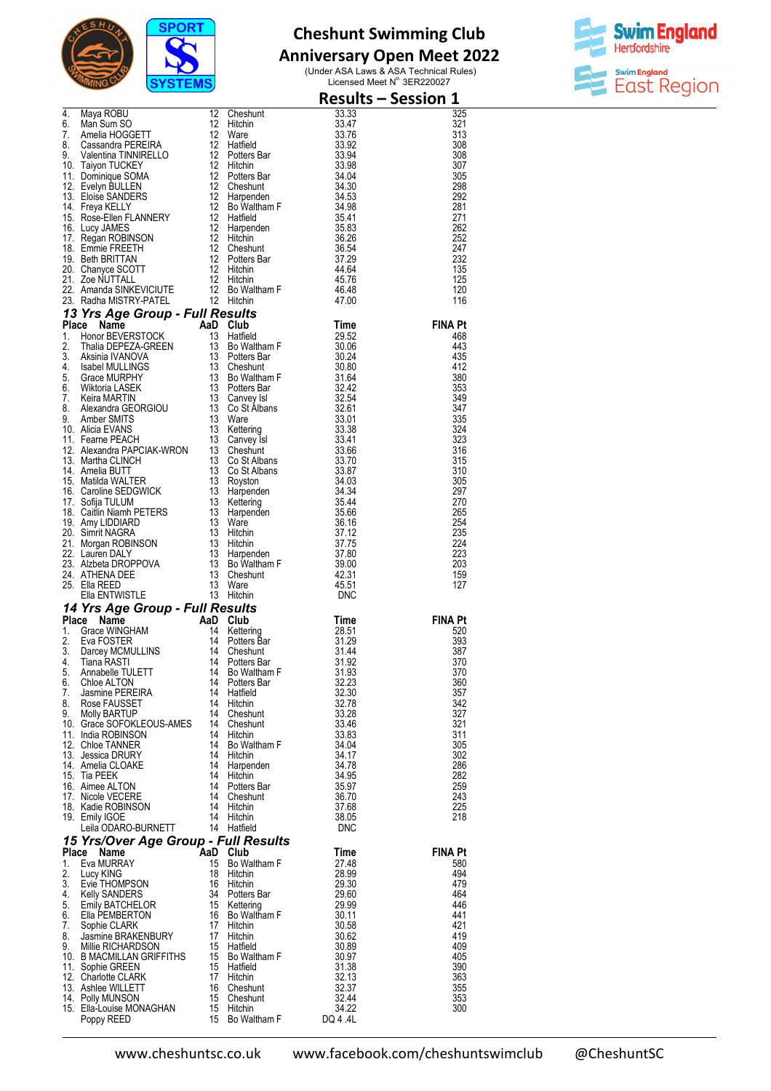

# **Anniversary Open Meet 2022**



|    | <b>Result</b><br>4. Maya ROBU<br>6. Man Sum SO<br>7. Amelia HOGGETT<br>7. Amelia HOGGETT<br>8. Cassandra PEREIRA<br>8. Cassandra TINNIRELLO<br>9. Valentina TINNIRELLO<br>9. Valentina TINNIRELLO<br>9. Valentina TINNIRELLO<br>12 Potters Bar<br>13.394<br>     |                 |                           | <b>Results - Session 1</b> |
|----|------------------------------------------------------------------------------------------------------------------------------------------------------------------------------------------------------------------------------------------------------------------|-----------------|---------------------------|----------------------------|
|    |                                                                                                                                                                                                                                                                  |                 |                           | 325                        |
|    |                                                                                                                                                                                                                                                                  |                 |                           | 321<br>313                 |
|    |                                                                                                                                                                                                                                                                  |                 |                           | 308                        |
|    |                                                                                                                                                                                                                                                                  |                 |                           | 308                        |
|    |                                                                                                                                                                                                                                                                  |                 |                           | 307<br>305                 |
|    |                                                                                                                                                                                                                                                                  |                 |                           | 298                        |
|    |                                                                                                                                                                                                                                                                  |                 |                           | 292                        |
|    |                                                                                                                                                                                                                                                                  |                 |                           | 281<br>271                 |
|    |                                                                                                                                                                                                                                                                  |                 |                           | 262                        |
|    |                                                                                                                                                                                                                                                                  |                 |                           | 252                        |
|    |                                                                                                                                                                                                                                                                  |                 |                           | 247<br>232                 |
|    |                                                                                                                                                                                                                                                                  |                 |                           | 135                        |
|    |                                                                                                                                                                                                                                                                  |                 |                           | 125                        |
|    |                                                                                                                                                                                                                                                                  |                 |                           | 120<br>116                 |
|    | 22. Amenda SINKEVICIUITE<br><b>23.</b> Radha MISTRY-PATEL 12 Bo Waltham F<br><b>46.48</b><br><b>13. Yrs Age Group - Full Results</b><br><b>11.</b> Honor BEVERSTOCK and Club<br>1. Honor BEVERSTOCK 13 Hatfield Time<br>1. Honor BEVERSTOCK 13 Boltaltham F<br>1 |                 |                           |                            |
|    |                                                                                                                                                                                                                                                                  |                 |                           | <b>FINA Pt</b>             |
|    |                                                                                                                                                                                                                                                                  |                 |                           | 468<br>443                 |
|    |                                                                                                                                                                                                                                                                  |                 |                           | 435                        |
|    |                                                                                                                                                                                                                                                                  |                 |                           | 412                        |
|    |                                                                                                                                                                                                                                                                  |                 |                           | 380<br>353                 |
|    |                                                                                                                                                                                                                                                                  |                 |                           | 349                        |
|    |                                                                                                                                                                                                                                                                  |                 |                           | 347                        |
|    |                                                                                                                                                                                                                                                                  |                 |                           | 335<br>324                 |
|    |                                                                                                                                                                                                                                                                  |                 |                           | 323                        |
|    |                                                                                                                                                                                                                                                                  |                 |                           | 316                        |
|    |                                                                                                                                                                                                                                                                  |                 |                           | 315<br>310                 |
|    |                                                                                                                                                                                                                                                                  |                 |                           | 305                        |
|    |                                                                                                                                                                                                                                                                  |                 |                           | 297                        |
|    |                                                                                                                                                                                                                                                                  |                 |                           | 270<br>265                 |
|    |                                                                                                                                                                                                                                                                  |                 |                           | 254                        |
|    |                                                                                                                                                                                                                                                                  |                 |                           | 235                        |
|    |                                                                                                                                                                                                                                                                  |                 |                           | 224<br>223                 |
|    |                                                                                                                                                                                                                                                                  |                 |                           | 203                        |
|    |                                                                                                                                                                                                                                                                  |                 |                           | 159                        |
|    |                                                                                                                                                                                                                                                                  |                 |                           | 127                        |
|    |                                                                                                                                                                                                                                                                  |                 |                           |                            |
|    |                                                                                                                                                                                                                                                                  |                 |                           | <b>FINA Pt</b>             |
|    |                                                                                                                                                                                                                                                                  |                 |                           | 520                        |
|    |                                                                                                                                                                                                                                                                  |                 |                           | 393<br>387                 |
|    |                                                                                                                                                                                                                                                                  |                 |                           | 370                        |
|    |                                                                                                                                                                                                                                                                  |                 | 31.93                     | 370                        |
|    |                                                                                                                                                                                                                                                                  |                 | 32.23<br>32.30            | 360<br>357                 |
|    |                                                                                                                                                                                                                                                                  |                 | 32.78                     | 342                        |
|    |                                                                                                                                                                                                                                                                  |                 | 33.28<br>33.46            | 327<br>321                 |
|    |                                                                                                                                                                                                                                                                  |                 | 33.83                     | 311                        |
|    |                                                                                                                                                                                                                                                                  |                 | 34.04                     | 305                        |
|    |                                                                                                                                                                                                                                                                  |                 | 34.17<br>34.78            | 302<br>286                 |
|    |                                                                                                                                                                                                                                                                  |                 | 34.95                     | 282                        |
|    |                                                                                                                                                                                                                                                                  |                 | 35.97                     | 259                        |
|    |                                                                                                                                                                                                                                                                  |                 | 36.70                     | 243<br>225                 |
|    | 4. Tiana RASTI<br>5. Annabelle TULETT 14 Bo Waltham F<br>6. Chloe ALTON 14 Potters Bar<br>7. Jasmine PEREIRA 14 Hatfield<br>8. Rose FAUSSET 14 Hitchin<br>9. Molly BARTUP<br>10. Grace SOFOKLEOUS-AMES 14 Cheshunt<br>11. India ROBINSON 14<br>19. Emily IGOE    | 14 Hitchin      | $37.65$<br>$38.05$<br>DNC | 218                        |
|    | Leila ODARO-BURNETT 14 Hatfield                                                                                                                                                                                                                                  |                 |                           |                            |
|    | 15 Yrs/Over Age Group - Full Results<br>Place Name Aan Club                                                                                                                                                                                                      |                 |                           |                            |
| 1. | <b>Place Name AaD Club</b><br>1 Eva MURRAY 15 Bo Wa<br>Eva MURRAY                                                                                                                                                                                                | 15 Bo Waltham F | Time<br>27.48             | <b>FINA Pt</b><br>580      |
|    |                                                                                                                                                                                                                                                                  |                 |                           | 494                        |
|    |                                                                                                                                                                                                                                                                  |                 |                           | 479                        |
|    |                                                                                                                                                                                                                                                                  |                 |                           | 464<br>446                 |
|    |                                                                                                                                                                                                                                                                  |                 |                           | 441                        |
|    |                                                                                                                                                                                                                                                                  |                 |                           | 421                        |
|    |                                                                                                                                                                                                                                                                  |                 |                           | 419<br>409                 |
|    |                                                                                                                                                                                                                                                                  |                 |                           | 405                        |
|    |                                                                                                                                                                                                                                                                  |                 |                           | 390                        |
|    |                                                                                                                                                                                                                                                                  |                 |                           | 363<br>355                 |
|    |                                                                                                                                                                                                                                                                  |                 |                           | 353                        |
|    | 1. Eva MURRAY 15 Bo Waltham F 27.48<br>2. Lucy KING 18 Hitchin 28.99<br>4. Kelly SANDERS 16 Hitchin 28.99<br>4. Kelly SANDERS 34 Potters Bar 29.50<br>5. Emily BATCHELOR 15 Kettering 29.99<br>6. Ella PEMBERTON 16 Bo Waltham F 30.11<br>                       |                 |                           | 300                        |
|    |                                                                                                                                                                                                                                                                  |                 |                           |                            |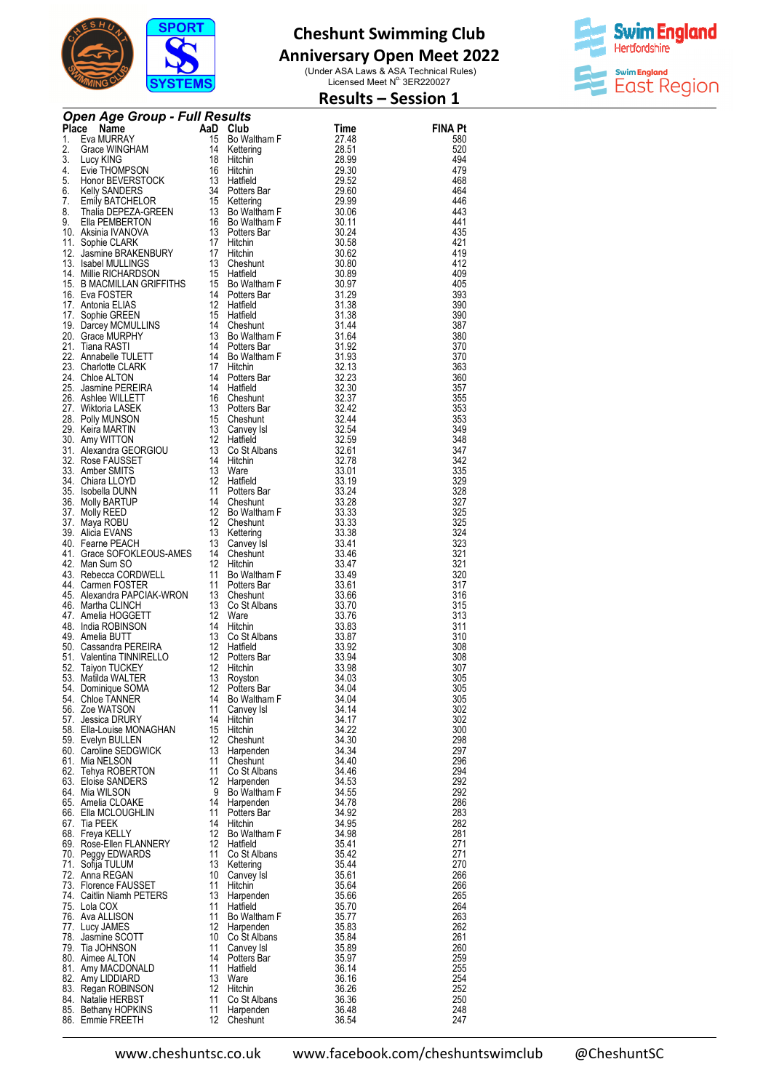

## **Anniversary Open Meet 2022**

(Under ASA Laws & ASA Technical Rules)<br>Licensed Meet N° 3ER220027



### **Results – Session 1**

| <b>Open Age Group - Full Results.</b><br>1. Eva MIRRAY<br>1. Eva MIRRAY<br>1. Eva MIRRAY<br>1. Eva MIRRAY<br>1. Eva MIRRAY<br>1. Eva MIRRAY<br>1. Eva MIRRAY<br>1. Eva MIRRAY<br>1. Eva MIRRAY<br>1. Eva MIRRAY<br>1. Eva MIRRAY<br>1. Eva MIRRAY<br>1. Eva M |          |                               |                |                       |  |  |  |
|---------------------------------------------------------------------------------------------------------------------------------------------------------------------------------------------------------------------------------------------------------------|----------|-------------------------------|----------------|-----------------------|--|--|--|
|                                                                                                                                                                                                                                                               |          |                               |                | <b>FINA Pt</b><br>580 |  |  |  |
|                                                                                                                                                                                                                                                               |          |                               |                | 520                   |  |  |  |
|                                                                                                                                                                                                                                                               |          |                               |                | 494                   |  |  |  |
|                                                                                                                                                                                                                                                               |          |                               |                | 479<br>468            |  |  |  |
|                                                                                                                                                                                                                                                               |          |                               |                | 464                   |  |  |  |
|                                                                                                                                                                                                                                                               |          |                               |                | 446                   |  |  |  |
|                                                                                                                                                                                                                                                               |          |                               |                | 443<br>441            |  |  |  |
|                                                                                                                                                                                                                                                               |          |                               |                | 435                   |  |  |  |
|                                                                                                                                                                                                                                                               |          |                               |                | 421                   |  |  |  |
|                                                                                                                                                                                                                                                               |          |                               |                | 419<br>412            |  |  |  |
|                                                                                                                                                                                                                                                               |          |                               |                | 409                   |  |  |  |
|                                                                                                                                                                                                                                                               |          |                               |                | 405                   |  |  |  |
|                                                                                                                                                                                                                                                               |          |                               |                | 393<br>390            |  |  |  |
|                                                                                                                                                                                                                                                               |          |                               |                | 390                   |  |  |  |
|                                                                                                                                                                                                                                                               |          |                               |                | 387<br>380            |  |  |  |
|                                                                                                                                                                                                                                                               |          |                               |                | 370                   |  |  |  |
|                                                                                                                                                                                                                                                               |          |                               |                | 370                   |  |  |  |
|                                                                                                                                                                                                                                                               |          |                               |                | 363<br>360            |  |  |  |
|                                                                                                                                                                                                                                                               |          |                               |                | 357                   |  |  |  |
|                                                                                                                                                                                                                                                               |          |                               |                | 355                   |  |  |  |
|                                                                                                                                                                                                                                                               |          |                               |                | 353<br>353            |  |  |  |
|                                                                                                                                                                                                                                                               |          |                               |                | 349                   |  |  |  |
|                                                                                                                                                                                                                                                               |          |                               |                | 348                   |  |  |  |
|                                                                                                                                                                                                                                                               |          |                               |                | 347<br>342            |  |  |  |
|                                                                                                                                                                                                                                                               |          |                               |                | 335                   |  |  |  |
|                                                                                                                                                                                                                                                               |          |                               |                | 329<br>328            |  |  |  |
|                                                                                                                                                                                                                                                               |          |                               |                | 327                   |  |  |  |
|                                                                                                                                                                                                                                                               |          |                               |                | 325                   |  |  |  |
|                                                                                                                                                                                                                                                               |          |                               |                | 325<br>324            |  |  |  |
|                                                                                                                                                                                                                                                               |          |                               |                | 323                   |  |  |  |
|                                                                                                                                                                                                                                                               |          |                               |                | 321                   |  |  |  |
|                                                                                                                                                                                                                                                               |          |                               |                | 321<br>320            |  |  |  |
|                                                                                                                                                                                                                                                               |          |                               |                | 317                   |  |  |  |
|                                                                                                                                                                                                                                                               |          |                               |                | 316<br>315            |  |  |  |
|                                                                                                                                                                                                                                                               |          |                               |                | 313                   |  |  |  |
|                                                                                                                                                                                                                                                               |          |                               |                | 311                   |  |  |  |
|                                                                                                                                                                                                                                                               |          |                               |                | 310<br>308            |  |  |  |
|                                                                                                                                                                                                                                                               |          |                               |                | 308                   |  |  |  |
|                                                                                                                                                                                                                                                               |          |                               |                | 307<br>305            |  |  |  |
|                                                                                                                                                                                                                                                               |          |                               |                | 305                   |  |  |  |
| 54. Chloe TANNER                                                                                                                                                                                                                                              |          | 14 Bo Waltham F               | 34.04          | 305                   |  |  |  |
| 56. Zoe WATSON<br>57. Jessica DRURY                                                                                                                                                                                                                           | 11<br>14 | Canvey Isl<br>Hitchin         | 34.14<br>34.17 | 302<br>302            |  |  |  |
| 58. Ella-Louise MONAGHAN                                                                                                                                                                                                                                      | 15       | Hitchin                       | 34.22          | 300                   |  |  |  |
| 59. Evelyn BULLEN<br>60. Caroline SEDGWICK                                                                                                                                                                                                                    |          | 12 Cheshunt<br>13 Harpenden   | 34.30<br>34.34 | 298<br>297            |  |  |  |
| 61. Mia NELSON                                                                                                                                                                                                                                                | 11       | Cheshunt                      | 34.40          | 296                   |  |  |  |
| 62. Tehya ROBERTON                                                                                                                                                                                                                                            | 11       | Co St Albans                  | 34.46          | 294                   |  |  |  |
| 63. Eloise SANDERS<br>64. Mia WILSON                                                                                                                                                                                                                          | 9        | 12 Harpenden<br>Bo Waltham F  | 34.53<br>34.55 | 292<br>292            |  |  |  |
| 65. Amelia CLOAKE                                                                                                                                                                                                                                             | 14       | Harpenden                     | 34.78          | 286                   |  |  |  |
| 66. Ella MCLOUGHLIN                                                                                                                                                                                                                                           | 11       | Potters Bar                   | 34.92          | 283                   |  |  |  |
| 67. Tia PEEK<br>68. Freya KELLY                                                                                                                                                                                                                               | 14       | Hitchin<br>12 Bo Waltham F    | 34.95<br>34.98 | 282<br>281            |  |  |  |
| 69. Rose-Ellen FLANNERY                                                                                                                                                                                                                                       |          | 12 Hatfield                   | 35.41          | 271                   |  |  |  |
| 70. Peggy EDWARDS<br>71. Sofija TULUM                                                                                                                                                                                                                         | 11       | Co St Albans<br>13 Kettering  | 35.42<br>35.44 | 271<br>270            |  |  |  |
| 72. Anna REGAN                                                                                                                                                                                                                                                | 10       | Canvey Isl                    | 35.61          | 266                   |  |  |  |
| 73. Florence FAUSSET                                                                                                                                                                                                                                          | 11       | Hitchin                       | 35.64          | 266                   |  |  |  |
| 74. Caitlin Niamh PETERS<br>75. Lola COX                                                                                                                                                                                                                      | 13<br>11 | Harpenden<br>Hatfield         | 35.66<br>35.70 | 265<br>264            |  |  |  |
| 76. Ava ALLISON                                                                                                                                                                                                                                               | 11       | Bo Waltham F                  | 35.77          | 263                   |  |  |  |
| 77. Lucy JAMES                                                                                                                                                                                                                                                |          | 12 Harpenden                  | 35.83          | 262                   |  |  |  |
| 78. Jasmine SCOTT<br>79. Tia JOHNSON                                                                                                                                                                                                                          | 11       | 10 Co St Albans<br>Canvey Isl | 35.84<br>35.89 | 261<br>260            |  |  |  |
| 80. Aimee ALTON                                                                                                                                                                                                                                               |          | 14 Potters Bar                | 35.97          | 259                   |  |  |  |
| 81. Amy MACDONALD<br>82. Amy LIDDIARD                                                                                                                                                                                                                         | 11<br>13 | Hatfield<br>Ware              | 36.14<br>36.16 | 255<br>254            |  |  |  |
| 83. Regan ROBINSON                                                                                                                                                                                                                                            | 12       | Hitchin                       | 36.26          | 252                   |  |  |  |
| 84. Natalie HERBST                                                                                                                                                                                                                                            | 11       | Co St Albans                  | 36.36          | 250                   |  |  |  |
| 85. Bethany HOPKINS<br>86. Emmie FREETH                                                                                                                                                                                                                       | 11       | Harpenden<br>12 Cheshunt      | 36.48<br>36.54 | 248<br>247            |  |  |  |
|                                                                                                                                                                                                                                                               |          |                               |                |                       |  |  |  |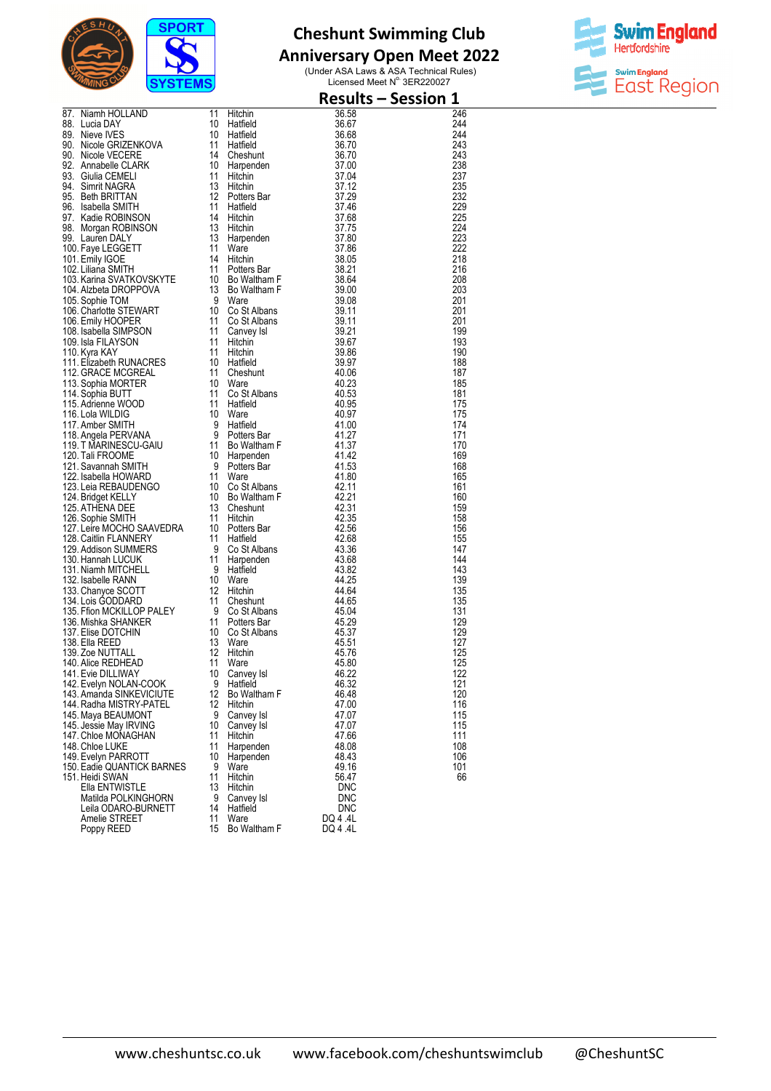

# **Anniversary Open Meet 2022**



| 37. Niamih HOLLAND 11 Hitalien 36,58<br>88. Iucia DAYS 10 Hitalien 36,58<br>88. Iucia DAYS 10 Hitalien 36,58<br>88. Iucia DAYS 10 Hitalien 36,58<br>99. Nincle CRIZENKVOVA 11 Hitalien 36,69<br>90. Nincle VECERE 14 Cheshunt 37,704<br>90 |          |                          |                     | <b>Results - Session 1</b> |
|--------------------------------------------------------------------------------------------------------------------------------------------------------------------------------------------------------------------------------------------|----------|--------------------------|---------------------|----------------------------|
|                                                                                                                                                                                                                                            |          |                          |                     | 246                        |
|                                                                                                                                                                                                                                            |          |                          |                     | 244                        |
|                                                                                                                                                                                                                                            |          |                          |                     | 244<br>243                 |
|                                                                                                                                                                                                                                            |          |                          |                     | 243                        |
|                                                                                                                                                                                                                                            |          |                          |                     | 238                        |
|                                                                                                                                                                                                                                            |          |                          |                     | 237                        |
|                                                                                                                                                                                                                                            |          |                          |                     | 235<br>232                 |
|                                                                                                                                                                                                                                            |          |                          |                     | 229                        |
|                                                                                                                                                                                                                                            |          |                          |                     | 225                        |
|                                                                                                                                                                                                                                            |          |                          |                     | 224                        |
|                                                                                                                                                                                                                                            |          |                          |                     | 223<br>222                 |
|                                                                                                                                                                                                                                            |          |                          |                     | 218                        |
|                                                                                                                                                                                                                                            |          |                          |                     | 216                        |
|                                                                                                                                                                                                                                            |          |                          |                     | 208                        |
|                                                                                                                                                                                                                                            |          |                          |                     | 203<br>201                 |
|                                                                                                                                                                                                                                            |          |                          |                     | 201                        |
|                                                                                                                                                                                                                                            |          |                          |                     | 201                        |
|                                                                                                                                                                                                                                            |          |                          |                     | 199                        |
|                                                                                                                                                                                                                                            |          |                          |                     | 193                        |
|                                                                                                                                                                                                                                            |          |                          |                     | 190<br>188                 |
|                                                                                                                                                                                                                                            |          |                          |                     | 187                        |
|                                                                                                                                                                                                                                            |          |                          |                     | 185                        |
|                                                                                                                                                                                                                                            |          |                          |                     | 181                        |
|                                                                                                                                                                                                                                            |          |                          |                     | 175<br>175                 |
|                                                                                                                                                                                                                                            |          |                          |                     | 174                        |
|                                                                                                                                                                                                                                            |          |                          |                     | 171                        |
|                                                                                                                                                                                                                                            |          |                          |                     | 170                        |
|                                                                                                                                                                                                                                            |          |                          |                     | 169<br>168                 |
|                                                                                                                                                                                                                                            |          |                          |                     | 165                        |
|                                                                                                                                                                                                                                            |          |                          |                     | 161                        |
|                                                                                                                                                                                                                                            |          |                          |                     | 160                        |
|                                                                                                                                                                                                                                            |          |                          |                     | 159<br>158                 |
|                                                                                                                                                                                                                                            |          |                          |                     | 156                        |
|                                                                                                                                                                                                                                            |          |                          |                     | 155                        |
|                                                                                                                                                                                                                                            |          |                          |                     | 147<br>144                 |
|                                                                                                                                                                                                                                            |          |                          |                     | 143                        |
|                                                                                                                                                                                                                                            |          |                          |                     | 139                        |
|                                                                                                                                                                                                                                            |          |                          |                     | 135                        |
|                                                                                                                                                                                                                                            |          |                          |                     | 135                        |
|                                                                                                                                                                                                                                            |          |                          |                     | 131<br>129                 |
|                                                                                                                                                                                                                                            |          |                          |                     | 129                        |
|                                                                                                                                                                                                                                            |          |                          |                     | 127                        |
|                                                                                                                                                                                                                                            |          |                          |                     | 125                        |
| 141. Evie DILLIWAY                                                                                                                                                                                                                         | 10       | Canvey Isl               | 46.22               | 125<br>122                 |
| 142. Evelyn NOLAN-COOK                                                                                                                                                                                                                     | 9        | Hatfield                 | 46.32               | 121                        |
| 143. Amanda SINKEVICIUTE                                                                                                                                                                                                                   | 12       | Bo Waltham F             | 46.48               | 120                        |
| 144. Radha MISTRY-PATEL                                                                                                                                                                                                                    | 12       | Hitchin                  | 47.00               | 116                        |
| 145. Maya BEAUMONT<br>145. Jessie May IRVING                                                                                                                                                                                               | 9<br>10  | Canvey Isl<br>Canvey Isl | 47.07<br>47.07      | 115<br>115                 |
| 147. Chloe MONAGHAN                                                                                                                                                                                                                        | 11       | <b>Hitchin</b>           | 47.66               | 111                        |
| 148. Chloe LUKE                                                                                                                                                                                                                            | 11       | Harpenden                | 48.08               | 108                        |
| 149. Evelyn PARROTT                                                                                                                                                                                                                        | 10       | Harpenden                | 48.43               | 106                        |
| 150. Eadie QUANTICK BARNES<br>151. Heidi SWAN                                                                                                                                                                                              | 9<br>11  | Ware<br>Hitchin          | 49.16<br>56.47      | 101<br>66                  |
| Ella ENTWISTLE                                                                                                                                                                                                                             | 13       | Hitchin                  | <b>DNC</b>          |                            |
| Matilda POLKINGHORN                                                                                                                                                                                                                        | 9        | Canvey Isl               | <b>DNC</b>          |                            |
| Leila ODARO-BURNETT                                                                                                                                                                                                                        | 14       | Hatfield                 | <b>DNC</b>          |                            |
| Amelie STREET<br>Poppy REED                                                                                                                                                                                                                | 11<br>15 | Ware<br>Bo Waltham F     | DQ 4.4L<br>DQ 4 .4L |                            |
|                                                                                                                                                                                                                                            |          |                          |                     |                            |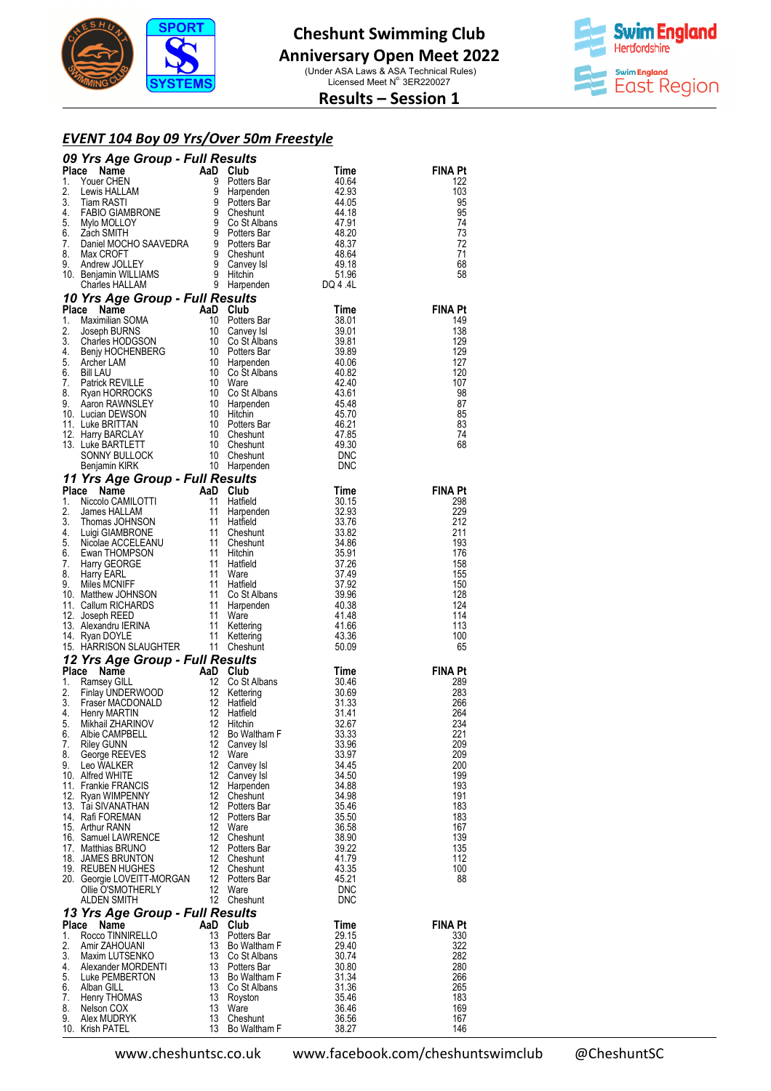

**Swim England Hertfordshire** swim England<br>East Region

**Results – Session 1** 

#### *EVENT 104 Boy 09 Yrs/Over 50m Freestyle*

|          |                                                                                                                                                                                                                                      |          |                             |                | <b>FINA Pt</b> |
|----------|--------------------------------------------------------------------------------------------------------------------------------------------------------------------------------------------------------------------------------------|----------|-----------------------------|----------------|----------------|
|          |                                                                                                                                                                                                                                      |          |                             |                | 122<br>103     |
|          |                                                                                                                                                                                                                                      |          |                             |                | 95             |
|          |                                                                                                                                                                                                                                      |          |                             |                | 95             |
|          |                                                                                                                                                                                                                                      |          |                             |                | 74             |
|          |                                                                                                                                                                                                                                      |          |                             |                | 73             |
|          |                                                                                                                                                                                                                                      |          |                             |                | 72<br>71       |
|          |                                                                                                                                                                                                                                      |          |                             |                | 68             |
|          |                                                                                                                                                                                                                                      |          |                             |                | 58             |
|          | <b>09 Yrs Agre Group - Full Results and Chairman and Chairman and Chairman and Chairman and Chairman and Chairman and Chairman and Chairman and Chairman and Chairman and Chairman and Chairman and Chairman and Chairman and Ch</b> |          |                             |                |                |
|          |                                                                                                                                                                                                                                      |          |                             |                | <b>FINA Pt</b> |
|          |                                                                                                                                                                                                                                      |          |                             |                | 149            |
|          |                                                                                                                                                                                                                                      |          |                             |                | 138            |
|          |                                                                                                                                                                                                                                      |          |                             |                | 129            |
|          |                                                                                                                                                                                                                                      |          |                             |                | 129            |
|          |                                                                                                                                                                                                                                      |          |                             |                | 127            |
|          |                                                                                                                                                                                                                                      |          |                             |                | 120<br>107     |
|          |                                                                                                                                                                                                                                      |          |                             |                | 98             |
|          |                                                                                                                                                                                                                                      |          |                             |                | 87             |
|          |                                                                                                                                                                                                                                      |          |                             |                | 85             |
|          |                                                                                                                                                                                                                                      |          |                             |                | 83<br>74       |
|          |                                                                                                                                                                                                                                      |          |                             |                | 68             |
|          |                                                                                                                                                                                                                                      |          |                             |                |                |
|          |                                                                                                                                                                                                                                      |          |                             |                |                |
|          |                                                                                                                                                                                                                                      |          |                             |                |                |
|          |                                                                                                                                                                                                                                      |          |                             |                | <b>FINA Pt</b> |
|          |                                                                                                                                                                                                                                      |          |                             |                | 298<br>229     |
|          |                                                                                                                                                                                                                                      |          |                             |                | 212            |
|          |                                                                                                                                                                                                                                      |          |                             |                | 211            |
|          |                                                                                                                                                                                                                                      |          |                             |                | 193            |
|          |                                                                                                                                                                                                                                      |          |                             |                | 176            |
|          |                                                                                                                                                                                                                                      |          |                             |                | 158<br>155     |
|          |                                                                                                                                                                                                                                      |          |                             |                | 150            |
|          |                                                                                                                                                                                                                                      |          |                             |                | 128            |
|          |                                                                                                                                                                                                                                      |          |                             |                | 124            |
|          |                                                                                                                                                                                                                                      |          |                             |                | 114            |
|          |                                                                                                                                                                                                                                      |          |                             |                | 113<br>100     |
|          |                                                                                                                                                                                                                                      |          |                             |                | 65             |
|          |                                                                                                                                                                                                                                      |          |                             |                |                |
|          |                                                                                                                                                                                                                                      |          |                             |                | FINA Pt        |
|          |                                                                                                                                                                                                                                      |          |                             |                | 289            |
|          |                                                                                                                                                                                                                                      |          |                             |                | 283<br>266     |
|          |                                                                                                                                                                                                                                      |          |                             |                | 264            |
|          |                                                                                                                                                                                                                                      |          |                             |                | 234            |
|          |                                                                                                                                                                                                                                      |          |                             |                | 221            |
| 7.<br>8. | Riley GUNN<br>George REEVES                                                                                                                                                                                                          | 12<br>12 | Canvey Isl<br>Ware          | 33.96<br>33.97 | 209<br>209     |
|          | 9. Leo WALKER                                                                                                                                                                                                                        | 12       | Canvey Isl                  | 34.45          | 200            |
|          | 10. Alfred WHITE                                                                                                                                                                                                                     | 12       | Canvey Isl                  | 34.50          | 199            |
|          | 11. Frankie FRANCIS                                                                                                                                                                                                                  | 12       | Harpenden                   | 34.88          | 193            |
|          | 12. Ryan WIMPENNY                                                                                                                                                                                                                    | 12       | Cheshunt                    | 34.98          | 191            |
|          | 13. Tai SIVANATHAN<br>14. Rafi FOREMAN                                                                                                                                                                                               | 12<br>12 | Potters Bar<br>Potters Bar  | 35.46<br>35.50 | 183<br>183     |
|          | 15. Arthur RANN                                                                                                                                                                                                                      | 12       | Ware                        | 36.58          | 167            |
|          | 16. Samuel LAWRENCE                                                                                                                                                                                                                  | 12       | Cheshunt                    | 38.90          | 139            |
|          | 17. Matthias BRUNO                                                                                                                                                                                                                   | 12       | Potters Bar                 | 39.22          | 135            |
|          | 18. JAMES BRUNTON<br>19. REUBEN HUGHES                                                                                                                                                                                               | 12<br>12 | Cheshunt<br>Cheshunt        | 41.79<br>43.35 | 112<br>100     |
|          | 20. Georgie LOVEITT-MORGAN                                                                                                                                                                                                           | 12       | Potters Bar                 | 45.21          | 88             |
|          | Ollie O'SMOTHERLY                                                                                                                                                                                                                    | 12       | Ware                        | <b>DNC</b>     |                |
|          | ALDEN SMITH                                                                                                                                                                                                                          |          | 12 Cheshunt                 | <b>DNC</b>     |                |
|          | 13 Yrs Age Group - Full Results                                                                                                                                                                                                      |          |                             |                |                |
| Place    | Name                                                                                                                                                                                                                                 | AaD Club |                             | Time           | <b>FINA Pt</b> |
| 1.<br>2. | Rocco TINNIRELLO<br>Amir ZAHOUANI                                                                                                                                                                                                    | 13<br>13 | Potters Bar<br>Bo Waltham F | 29.15<br>29.40 | 330<br>322     |
| 3.       | Maxim LUTSENKO                                                                                                                                                                                                                       |          | 13 Co St Albans             | 30.74          | 282            |
| 4.       | Alexander MORDENTI                                                                                                                                                                                                                   |          | 13 Potters Bar              | 30.80          | 280            |
| 5.       | Luke PEMBERTON                                                                                                                                                                                                                       | 13       | Bo Waltham F                | 31.34          | 266            |
| 6.<br>7. | Alban GILL<br>Henry THOMAS                                                                                                                                                                                                           | 13<br>13 | Co St Albans<br>Royston     | 31.36<br>35.46 | 265<br>183     |
| 8.       | Nelson COX                                                                                                                                                                                                                           | 13       | Ware                        | 36.46          | 169            |
| 9.       | Alex MUDRYK                                                                                                                                                                                                                          | 13       | Cheshunt                    | 36.56          | 167            |
|          | 10. Krish PATEL                                                                                                                                                                                                                      | 13       | Bo Waltham F                | 38.27          | 146            |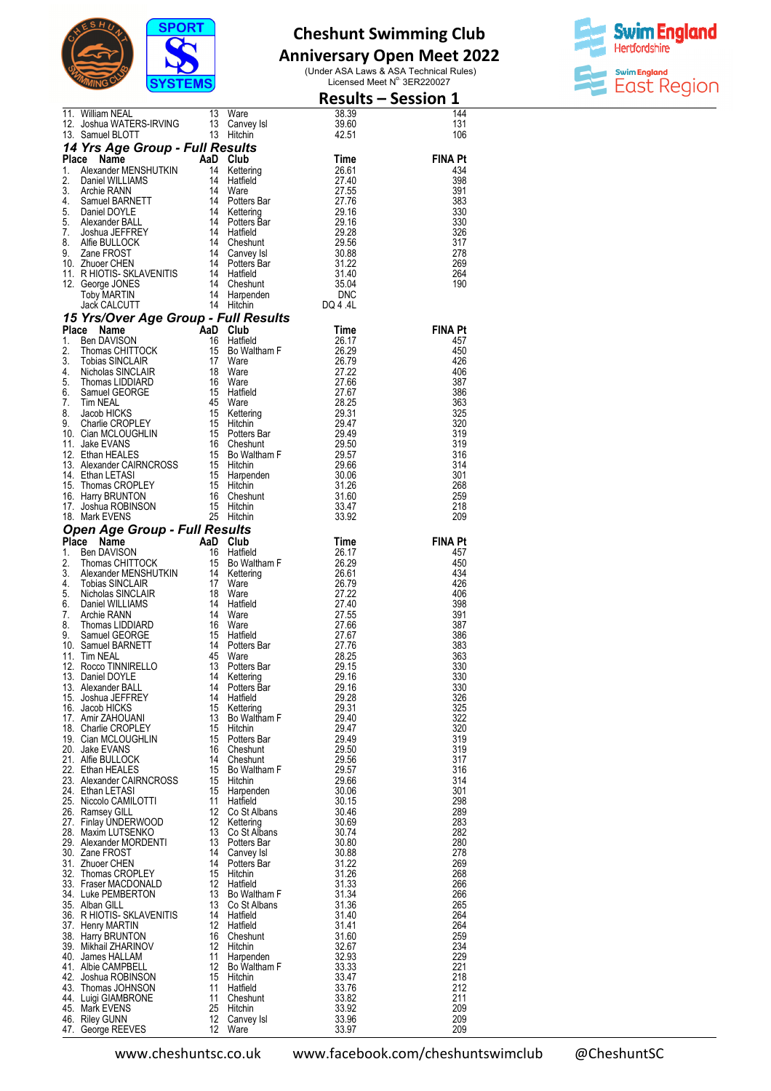

# **Anniversary Open Meet 2022**



|                                                                                                                                                                                                                                                                                                                                                                                                                                                                                                                                    |                         |                                              |                       | <b>Results - Session 1</b> |
|------------------------------------------------------------------------------------------------------------------------------------------------------------------------------------------------------------------------------------------------------------------------------------------------------------------------------------------------------------------------------------------------------------------------------------------------------------------------------------------------------------------------------------|-------------------------|----------------------------------------------|-----------------------|----------------------------|
| 11. William NEAL 13                                                                                                                                                                                                                                                                                                                                                                                                                                                                                                                |                         | Ware                                         | 38.39                 | 144                        |
| 11. William NEAL<br>12. Joshua WATERS-IRVING 13 Canvey<br>13 Samuel BLOTT 13 Hitchin                                                                                                                                                                                                                                                                                                                                                                                                                                               |                         | Canvey Isl<br>Hitchin                        | 39.60<br>42.51        | 131<br>106                 |
|                                                                                                                                                                                                                                                                                                                                                                                                                                                                                                                                    |                         | Saith<br>Sults<br>Club<br>Hatfield<br>Marten |                       |                            |
|                                                                                                                                                                                                                                                                                                                                                                                                                                                                                                                                    |                         |                                              |                       | <b>FINA Pt</b>             |
|                                                                                                                                                                                                                                                                                                                                                                                                                                                                                                                                    |                         |                                              |                       | 434                        |
|                                                                                                                                                                                                                                                                                                                                                                                                                                                                                                                                    |                         |                                              |                       | 398<br>391                 |
|                                                                                                                                                                                                                                                                                                                                                                                                                                                                                                                                    |                         |                                              |                       | 383                        |
|                                                                                                                                                                                                                                                                                                                                                                                                                                                                                                                                    |                         |                                              |                       | 330                        |
|                                                                                                                                                                                                                                                                                                                                                                                                                                                                                                                                    |                         |                                              |                       | 330<br>326                 |
|                                                                                                                                                                                                                                                                                                                                                                                                                                                                                                                                    |                         |                                              |                       | 317                        |
|                                                                                                                                                                                                                                                                                                                                                                                                                                                                                                                                    |                         |                                              |                       | 278                        |
|                                                                                                                                                                                                                                                                                                                                                                                                                                                                                                                                    |                         |                                              |                       | 269<br>264                 |
|                                                                                                                                                                                                                                                                                                                                                                                                                                                                                                                                    |                         |                                              |                       | 190                        |
|                                                                                                                                                                                                                                                                                                                                                                                                                                                                                                                                    |                         |                                              |                       |                            |
| 13. Samuel BLOTT<br>13. Hitchin 42.51<br>14 Yrs Age Group - Full Results<br>13. Hitchin 14<br>27.40<br>2. Daniel WILLIAMS<br>14 Hatfield 27.40<br>2. Daniel MILLIAMS<br>14 Ware 27.55<br>4. Samuel BARNETT 14 Potters Bar<br>4. Samuel BARNETT 14                                                                                                                                                                                                                                                                                  |                         |                                              |                       |                            |
|                                                                                                                                                                                                                                                                                                                                                                                                                                                                                                                                    |                         |                                              |                       | <b>FINA Pt</b>             |
|                                                                                                                                                                                                                                                                                                                                                                                                                                                                                                                                    |                         |                                              |                       | 457                        |
|                                                                                                                                                                                                                                                                                                                                                                                                                                                                                                                                    |                         |                                              |                       | 450<br>426                 |
|                                                                                                                                                                                                                                                                                                                                                                                                                                                                                                                                    |                         |                                              |                       | 406                        |
|                                                                                                                                                                                                                                                                                                                                                                                                                                                                                                                                    |                         |                                              |                       | 387                        |
|                                                                                                                                                                                                                                                                                                                                                                                                                                                                                                                                    |                         |                                              |                       | 386<br>363                 |
|                                                                                                                                                                                                                                                                                                                                                                                                                                                                                                                                    |                         |                                              |                       | 325                        |
|                                                                                                                                                                                                                                                                                                                                                                                                                                                                                                                                    |                         |                                              |                       | 320                        |
|                                                                                                                                                                                                                                                                                                                                                                                                                                                                                                                                    |                         |                                              |                       | 319<br>319                 |
|                                                                                                                                                                                                                                                                                                                                                                                                                                                                                                                                    |                         |                                              |                       | 316                        |
|                                                                                                                                                                                                                                                                                                                                                                                                                                                                                                                                    |                         |                                              |                       | 314                        |
|                                                                                                                                                                                                                                                                                                                                                                                                                                                                                                                                    |                         |                                              |                       | 301<br>268                 |
|                                                                                                                                                                                                                                                                                                                                                                                                                                                                                                                                    |                         |                                              |                       | 259                        |
|                                                                                                                                                                                                                                                                                                                                                                                                                                                                                                                                    |                         |                                              |                       | 218<br>209                 |
|                                                                                                                                                                                                                                                                                                                                                                                                                                                                                                                                    |                         |                                              |                       |                            |
| 9 FROS.<br>New Price CHEN<br>HOTIS-SKLAVENITIS<br>and OTIS-SKLAVENITIS<br>and ONISON<br>20 Dy MARTIN<br>ack CALCUTT<br><b>Price Age Group - Full Results</b><br><b>Price Age Group - Full Results</b><br><b>Price Age Group - Full Results</b><br>Thomas CHITTOC<br>To Mark EVENS<br><b>Open Age Group - Full Results</b><br><b>Place Name</b><br>1. Ben DAVISON<br>1. Ben DAVISON<br>1. Thomas CHITTOCK<br>1. Thomas CHITTOCK<br>1. Tobias SINCLAIR<br>4. Tobias SINCLAIR<br>5. Nicholas SINCLAIR<br>5. Nicholas SINCLAIR<br>6. D |                         |                                              |                       | <b>FINA Pt</b>             |
|                                                                                                                                                                                                                                                                                                                                                                                                                                                                                                                                    |                         |                                              |                       | 457                        |
|                                                                                                                                                                                                                                                                                                                                                                                                                                                                                                                                    |                         |                                              |                       | 450<br>434                 |
|                                                                                                                                                                                                                                                                                                                                                                                                                                                                                                                                    |                         |                                              |                       | 426                        |
|                                                                                                                                                                                                                                                                                                                                                                                                                                                                                                                                    |                         |                                              |                       | 406<br>398                 |
|                                                                                                                                                                                                                                                                                                                                                                                                                                                                                                                                    |                         |                                              | $\frac{27.40}{27.55}$ | 391                        |
|                                                                                                                                                                                                                                                                                                                                                                                                                                                                                                                                    |                         |                                              |                       | 387                        |
|                                                                                                                                                                                                                                                                                                                                                                                                                                                                                                                                    |                         | Hatfield                                     | 27.67<br>27.76        | 386<br>383                 |
|                                                                                                                                                                                                                                                                                                                                                                                                                                                                                                                                    |                         | Potters Bar<br>Ware<br>Potters Bar           | 28.25                 | 363                        |
| 13. Daniel DOYLE                                                                                                                                                                                                                                                                                                                                                                                                                                                                                                                   | 14                      | Potters Bar<br>Kettering                     | 29.15<br>29.16        | 330<br>330                 |
| 13. Alexander BALL                                                                                                                                                                                                                                                                                                                                                                                                                                                                                                                 | 14                      | Potters Bar                                  | 29.16                 | 330                        |
| 15. Joshua JEFFREY                                                                                                                                                                                                                                                                                                                                                                                                                                                                                                                 | 14                      | Hatfield                                     | 29.28                 | 326                        |
| 16. Jacob HICKS<br>17. Amir ZAHOUANI                                                                                                                                                                                                                                                                                                                                                                                                                                                                                               | 15<br>13                | Kettering<br>Bo Waltham F                    | 29.31<br>29.40        | 325<br>322                 |
| 18. Charlie CROPLEY                                                                                                                                                                                                                                                                                                                                                                                                                                                                                                                | 15                      | Hitchin                                      | 29.47                 | 320                        |
| 19. Cian MCLOUGHLIN                                                                                                                                                                                                                                                                                                                                                                                                                                                                                                                | 15                      | Potters Bar                                  | 29.49                 | 319                        |
| 20. Jake EVANS<br>21. Alfie BULLOCK                                                                                                                                                                                                                                                                                                                                                                                                                                                                                                | 16<br>14                | Cheshunt<br>Cheshunt                         | 29.50<br>29.56        | 319<br>317                 |
| 22. Ethan HEALES                                                                                                                                                                                                                                                                                                                                                                                                                                                                                                                   | 15                      | Bo Waltham F                                 | 29.57                 | 316                        |
| 23. Alexander CAIRNCROSS<br>24. Ethan LETASI                                                                                                                                                                                                                                                                                                                                                                                                                                                                                       | 15<br>15                | Hitchin<br>Harpenden                         | 29.66<br>30.06        | 314<br>301                 |
| 25. Niccolo CAMILOTTI                                                                                                                                                                                                                                                                                                                                                                                                                                                                                                              | 11                      | Hatfield                                     | 30.15                 | 298                        |
| 26. Ramsey GILL                                                                                                                                                                                                                                                                                                                                                                                                                                                                                                                    | $12 \overline{ }$       | Co St Albans                                 | 30.46                 | 289                        |
| 27. Finlay UNDERWOOD<br>28. Maxim LUTSENKO                                                                                                                                                                                                                                                                                                                                                                                                                                                                                         | $12 \overline{ }$<br>13 | Kettering<br>Co St Albans                    | 30.69<br>30.74        | 283<br>282                 |
| 29. Alexander MORDENTI                                                                                                                                                                                                                                                                                                                                                                                                                                                                                                             | 13                      | Potters Bar                                  | 30.80                 | 280                        |
| 30. Zane FROST<br>31. Zhuoer CHEN                                                                                                                                                                                                                                                                                                                                                                                                                                                                                                  | 14<br>14                | Canvey Isl                                   | 30.88<br>31.22        | 278<br>269                 |
| 32. Thomas CROPLEY                                                                                                                                                                                                                                                                                                                                                                                                                                                                                                                 | 15                      | Potters Bar<br>Hitchin                       | 31.26                 | 268                        |
| 33. Fraser MACDONALD                                                                                                                                                                                                                                                                                                                                                                                                                                                                                                               | 12                      | Hatfield                                     | 31.33                 | 266                        |
| 34. Luke PEMBERTON<br>35. Alban GILL                                                                                                                                                                                                                                                                                                                                                                                                                                                                                               | 13<br>13                | Bo Waltham F<br>Co St Albans                 | 31.34<br>31.36        | 266<br>265                 |
| 36. R HIOTIS- SKLAVENITIS                                                                                                                                                                                                                                                                                                                                                                                                                                                                                                          | 14                      | Hatfield                                     | 31.40                 | 264                        |
| 37. Henry MARTIN                                                                                                                                                                                                                                                                                                                                                                                                                                                                                                                   | 12                      | Hatfield                                     | 31.41                 | 264                        |
| 38. Harry BRUNTON<br>39. Mikhail ZHARINOV                                                                                                                                                                                                                                                                                                                                                                                                                                                                                          | 16<br>$12 \overline{ }$ | Cheshunt<br>Hitchin                          | 31.60<br>32.67        | 259<br>234                 |
| 40. James HALLAM                                                                                                                                                                                                                                                                                                                                                                                                                                                                                                                   | 11                      | Harpenden                                    | 32.93                 | 229                        |
| 41. Albie CAMPBELL<br>42. Joshua ROBINSON                                                                                                                                                                                                                                                                                                                                                                                                                                                                                          | 12<br>15                | Bo Waltham F<br>Hitchin                      | 33.33<br>33.47        | 221<br>218                 |
| 43. Thomas JOHNSON                                                                                                                                                                                                                                                                                                                                                                                                                                                                                                                 | 11                      | Hatfield                                     | 33.76                 | 212                        |
| 44. Luigi GIAMBRONE                                                                                                                                                                                                                                                                                                                                                                                                                                                                                                                | 11                      | Cheshunt                                     | 33.82                 | 211                        |
| 45. Mark EVENS<br>46. Riley GUNN                                                                                                                                                                                                                                                                                                                                                                                                                                                                                                   | 25<br>12                | Hitchin<br>Canvey Isl                        | 33.92<br>33.96        | 209<br>209                 |
| 47. George REEVES                                                                                                                                                                                                                                                                                                                                                                                                                                                                                                                  | 12                      | Ware                                         | 33.97                 | 209                        |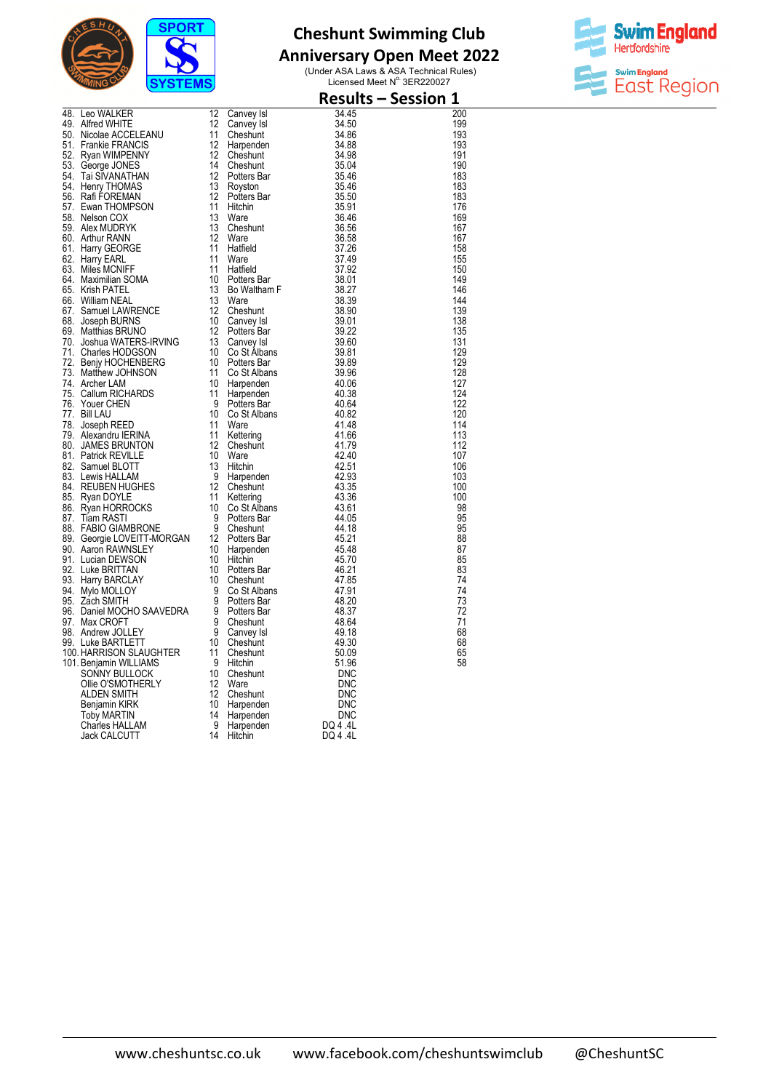

## **Anniversary Open Meet 2022**



| 48 Leo WALKER 12 Canvey Isl<br>48 Leo WALKER 12 Canvey Isl<br>50 Microle ACCELEANU 11 Cheshurt<br>51 Microle ACCELEANU 11 Cheshurt<br>51 Nicolae ACCELEANU 11 Cheshurt<br>52 Pyan WIMPENNY 12 Cheshurt<br>52 Pyan WIMPENNY 12 Cheshurt<br>54 |    |                                           |                | <b>Results - Session 1</b> |
|----------------------------------------------------------------------------------------------------------------------------------------------------------------------------------------------------------------------------------------------|----|-------------------------------------------|----------------|----------------------------|
| 48. Leo WALKER<br>49. Alfred WHITE<br>59. Nicol WHITE                                                                                                                                                                                        | 12 | Canvey Isl                                | 34.45          | 200                        |
|                                                                                                                                                                                                                                              | 12 | Canvey Isl                                | 34.50<br>34.86 | 199                        |
|                                                                                                                                                                                                                                              |    |                                           | 34.88          | 193<br>193                 |
|                                                                                                                                                                                                                                              |    |                                           | 34.98          | 191                        |
|                                                                                                                                                                                                                                              |    |                                           | 35.04          | 190                        |
|                                                                                                                                                                                                                                              |    |                                           | 35.46          | 183                        |
|                                                                                                                                                                                                                                              |    |                                           | 35.46          | 183                        |
|                                                                                                                                                                                                                                              |    |                                           | 35.50          | 183                        |
|                                                                                                                                                                                                                                              |    |                                           | 35.91          | 176<br>169                 |
|                                                                                                                                                                                                                                              |    |                                           | 36.46<br>36.56 | 167                        |
|                                                                                                                                                                                                                                              |    |                                           | 36.58          | 167                        |
|                                                                                                                                                                                                                                              |    |                                           | 37.26          | 158                        |
|                                                                                                                                                                                                                                              |    |                                           | 37.49          | 155                        |
|                                                                                                                                                                                                                                              |    |                                           | 37.92          | 150                        |
|                                                                                                                                                                                                                                              |    |                                           | 38.01<br>38.27 | 149<br>146                 |
|                                                                                                                                                                                                                                              |    |                                           | 38.39          | 144                        |
|                                                                                                                                                                                                                                              |    |                                           | 38.90          | 139                        |
|                                                                                                                                                                                                                                              |    |                                           | 39.01          | 138                        |
|                                                                                                                                                                                                                                              |    |                                           | 39.22          | 135                        |
|                                                                                                                                                                                                                                              |    |                                           | 39.60          | 131                        |
|                                                                                                                                                                                                                                              |    |                                           | 39.81          | 129                        |
|                                                                                                                                                                                                                                              |    |                                           | 39.89<br>39.96 | 129<br>128                 |
|                                                                                                                                                                                                                                              |    |                                           | 40.06          | 127                        |
|                                                                                                                                                                                                                                              |    |                                           | 40.38          | 124                        |
|                                                                                                                                                                                                                                              |    |                                           | 40.64          | 122                        |
|                                                                                                                                                                                                                                              |    |                                           | 40.82          | 120                        |
|                                                                                                                                                                                                                                              |    |                                           | 41.48          | 114                        |
|                                                                                                                                                                                                                                              |    |                                           | 41.66<br>41.79 | 113<br>112                 |
|                                                                                                                                                                                                                                              |    |                                           | 42.40          | 107                        |
|                                                                                                                                                                                                                                              |    |                                           | 42.51          | 106                        |
|                                                                                                                                                                                                                                              |    |                                           | 42.93          | 103                        |
|                                                                                                                                                                                                                                              |    |                                           | 43.35          | 100                        |
|                                                                                                                                                                                                                                              |    |                                           | 43.36          | 100                        |
|                                                                                                                                                                                                                                              |    |                                           | 43.61<br>44.05 | 98<br>95                   |
|                                                                                                                                                                                                                                              |    |                                           | 44.18          | 95                         |
|                                                                                                                                                                                                                                              |    |                                           | 45.21          | 88                         |
|                                                                                                                                                                                                                                              |    |                                           | 45.48          | $\overline{87}$            |
|                                                                                                                                                                                                                                              |    |                                           | 45.70          | 85                         |
|                                                                                                                                                                                                                                              |    |                                           | 46.21<br>47.85 | 83<br>74                   |
|                                                                                                                                                                                                                                              |    |                                           | 47.91          | 74                         |
|                                                                                                                                                                                                                                              |    |                                           | 48.20          | 73                         |
|                                                                                                                                                                                                                                              |    |                                           | 48.37          | 72                         |
|                                                                                                                                                                                                                                              |    |                                           | 48.64          | 71                         |
|                                                                                                                                                                                                                                              |    |                                           | 49.18          | 68                         |
|                                                                                                                                                                                                                                              |    |                                           | 49.30          | 68                         |
|                                                                                                                                                                                                                                              |    |                                           | 50.09<br>51.96 | 65<br>58                   |
|                                                                                                                                                                                                                                              |    |                                           | <b>DNC</b>     |                            |
|                                                                                                                                                                                                                                              |    |                                           | <b>DNC</b>     |                            |
|                                                                                                                                                                                                                                              |    |                                           | DNC            |                            |
|                                                                                                                                                                                                                                              |    |                                           | DNC            |                            |
|                                                                                                                                                                                                                                              |    |                                           | <b>DNC</b>     |                            |
|                                                                                                                                                                                                                                              |    | Harpenden<br>Harpenden<br>Hitchin DQ 4.4L |                |                            |
|                                                                                                                                                                                                                                              |    |                                           |                |                            |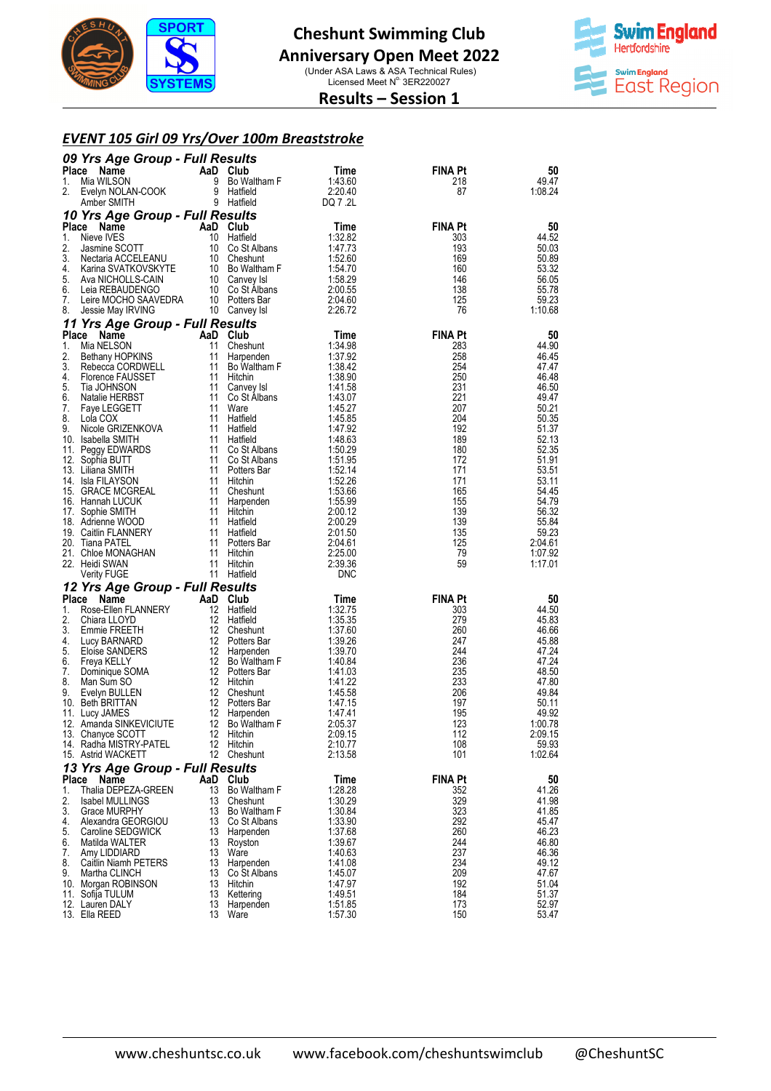

#### **Anniversary Open Meet 2022**

(Under ASA Laws & ASA Technical Rules)<br>Licensed Meet N° 3ER220027



#### **Results – Session 1**

#### *EVENT 105 Girl 09 Yrs/Over 100m Breaststroke*

|             | 09 Yrs Age Group - Full Results                  |                |                                   |                    |                |                  |
|-------------|--------------------------------------------------|----------------|-----------------------------------|--------------------|----------------|------------------|
| Place       | Name                                             | AaD Club       |                                   | Time               | <b>FINA Pt</b> | 50               |
| 1.<br>2.    | Mia WILSON<br>Evelyn NOLAN-COOK                  | 9              | Bo Waltham F<br>9 Hatfield        | 1:43.60<br>2:20.40 | 218<br>87      | 49.47<br>1:08.24 |
|             | Amber SMITH                                      |                | 9 Hatfield                        | DQ 7 .2L           |                |                  |
|             | 10 Yrs Age Group - Full Results                  |                |                                   |                    |                |                  |
|             | Place Name                                       | AaD Club       |                                   | Time               | <b>FINA Pt</b> | 50               |
| 1.          | Nieve IVES                                       |                | 10 Hatfield                       | 1:32.82            | 303            | 44.52            |
| 2.          | Jasmine SCOTT                                    |                | 10 Co St Albans                   | 1:47.73            | 193            | 50.03            |
| 3.<br>4.    | Nectaria ACCELEANU<br>Karina SVATKOVSKYTE        |                | 10 Cheshunt<br>10 Bo Waltham F    | 1:52.60<br>1:54.70 | 169<br>160     | 50.89<br>53.32   |
| 5.          | Ava NICHOLLS-CAIN                                |                | 10 Canvey Isl                     | 1:58.29            | 146            | 56.05            |
| 6.          | Leia REBAUDENGO                                  |                | 10 Co St Albans                   | 2:00.55            | 138            | 55.78            |
| 7.          | Leire MOCHO SAAVEDRA                             |                | 10 Potters Bar                    | 2:04.60            | 125            | 59.23            |
| 8.          | Jessie May IRVING                                |                | 10 Canvey Isl                     | 2:26.72            | 76             | 1:10.68          |
|             | 11 Yrs Age Group - Full Results                  |                |                                   |                    | <b>FINA Pt</b> |                  |
| Place<br>1. | Name<br>Mia NELSON                               | AaD Club<br>11 | Cheshunt                          | Time<br>1:34.98    | 283            | 50<br>44.90      |
| 2.          | Bethany HOPKINS                                  | 11             | Harpenden                         | 1:37.92            | 258            | 46.45            |
| 3.          | Rebecca CORDWELL                                 |                | 11 Bo Waltham F                   | 1:38.42            | 254            | 47.47            |
| 4.          | Florence FAUSSET                                 |                | 11 Hitchin                        | 1:38.90            | 250            | 46.48            |
| 5.          | Tia JOHNSON                                      |                | 11 Canvey Isl                     | 1:41.58            | 231            | 46.50            |
| 6.<br>7.    | Natalie HERBST<br>Faye LEGGETT                   |                | 11 Co St Albans<br>11 Ware        | 1.43.07<br>1:45.27 | 221<br>207     | 49.47<br>50.21   |
| 8.          | Lola COX                                         |                | 11 Hatfield                       | 1:45.85            | 204            | 50.35            |
| 9.          | Nicole GRIZENKOVA                                |                | 11 Hatfield                       | 1:47.92            | 192            | 51.37            |
|             | 10. Isabella SMITH                               |                | 11 Hatfield                       | 1:48.63            | 189            | 52.13            |
|             | 11. Peggy EDWARDS                                |                | 11 Co St Albans                   | 1:50.29            | 180            | 52.35            |
|             | 12. Sophia BUTT<br>13. Liliana SMITH             |                | 11 Co St Albans<br>11 Potters Bar | 1:51.95<br>1:52.14 | 172<br>171     | 51.91<br>53.51   |
|             | 14. Isla FILAYSON                                |                | 11 Hitchin                        | 1:52.26            | 171            | 53.11            |
|             | 15. GRACE MCGREAL                                |                | 11 Cheshunt                       | 1:53.66            | 165            | 54.45            |
|             | 16. Hannah LUCUK                                 | 11             | Harpenden                         | 1:55.99            | 155            | 54.79            |
|             | 17. Sophie SMITH<br>18. Adrienne WOOD            |                | 11 Hitchin<br>11 Hatfield         | 2:00.12<br>2:00.29 | 139<br>139     | 56.32<br>55.84   |
|             | 19. Caitlin FLANNERY                             | 11             | Hatfield                          | 2:01.50            | 135            | 59.23            |
|             | 20. Tiana PATEL                                  |                | 11 Potters Bar                    | 2:04.61            | 125            | 2:04.61          |
|             | 21. Chloe MONAGHAN                               |                | 11 Hitchin                        | 2:25.00            | 79             | 1:07.92          |
|             | 22. Heidi SWAN                                   | 11             | Hitchin                           | 2:39.36            | 59             | 1:17.01          |
|             | <b>Verity FUGE</b>                               |                | 11 Hatfield                       | <b>DNC</b>         |                |                  |
|             | 12 Yrs Age Group - Full Results<br>Place<br>Name | AaD Club       |                                   | Time               | <b>FINA Pt</b> | 50               |
| 1.          | Rose-Ellen FLANNERY                              | 12             | Hatfield                          | 1:32.75            | 303            | 44.50            |
| 2.          | Chiara LLOYD                                     |                | 12 Hatfield                       | 1:35.35            | 279            | 45.83            |
| 3.          | Emmie FREETH                                     |                | 12 Cheshunt                       | 1:37.60            | 260            | 46.66            |
| 4.<br>5.    | Lucy BARNARD                                     |                | 12 Potters Bar                    | 1:39.26<br>1:39.70 | 247<br>244     | 45.88            |
| 6.          | Eloise SANDERS<br>Freya KELLY                    |                | 12 Harpenden<br>12 Bo Waltham F   | 1:40.84            | 236            | 47.24<br>47.24   |
| 7.          | Dominique SOMA                                   |                | 12 Potters Bar                    | 1:41.03            | 235            | 48.50            |
| 8.          | Man Sum SO                                       |                | 12 Hitchin                        | 1:41.22            | 233            | 47.80            |
| 9.          | Evelyn BULLEN                                    |                | 12 Cheshunt                       | 1:45.58            | 206            | 49.84            |
|             | 10. Beth BRITTAN<br>11. Lucy JAMES               | 12             | Potters Bar<br>12 Harpenden       | 1:47.15<br>1.47.41 | 197<br>195     | 50.11<br>49.92   |
|             | 12. Amanda SINKEVICIUTE                          | 12             | Bo Waltham F                      | 2:05.37            | 123            | 1:00.78          |
|             | 13. Chanyce SCOTT                                |                | 12 Hitchin                        | 2:09.15            | 112            | 2:09.15          |
|             | 14. Radha MISTRY-PATEL                           | 12             | Hitchin                           | 2:10.77            | 108            | 59.93            |
|             | 15. Astrid WACKETT                               | 12             | Cheshunt                          | 2:13.58            | 101            | 1:02.64          |
|             | 13 Yrs Age Group - Full Results                  | AaD Club       |                                   |                    | <b>FINA Pt</b> |                  |
| 1.          | Place Name<br>Thalia DEPEZA-GREEN                | 13             | Bo Waltham F                      | Time<br>1:28.28    | 352            | 50<br>41.26      |
| 2.          | <b>Isabel MULLINGS</b>                           | 13             | Cheshunt                          | 1:30.29            | 329            | 41.98            |
| 3.          | Grace MURPHY                                     | 13             | Bo Waltham F                      | 1:30.84            | 323            | 41.85            |
| 4.          | Alexandra GEORGIOU                               |                | 13 Co St Albans                   | 1:33.90            | 292            | 45.47            |
| 5.<br>6.    | Caroline SEDGWICK<br>Matilda WALTER              | 13             | 13 Harpenden<br>Royston           | 1:37.68<br>1:39.67 | 260<br>244     | 46.23<br>46.80   |
| 7.          | Amy LIDDIARD                                     | 13             | Ware                              | 1:40.63            | 237            | 46.36            |
| 8.          | Caitlin Niamh PETERS                             |                | 13 Harpenden                      | 1:41.08            | 234            | 49.12            |
| 9.          | Martha CLINCH                                    | 13             | Co St Albans                      | 1:45.07            | 209            | 47.67            |
|             | 10. Morgan ROBINSON                              | 13             | Hitchin<br>13 Kettering           | 1:47.97<br>1:49.51 | 192<br>184     | 51.04<br>51.37   |
|             | 11. Sofija TULUM<br>12. Lauren DALY              | 13             | Harpenden                         | 1:51.85            | 173            | 52.97            |
|             | 13. Ella REED                                    |                | 13 Ware                           | 1:57.30            | 150            | 53.47            |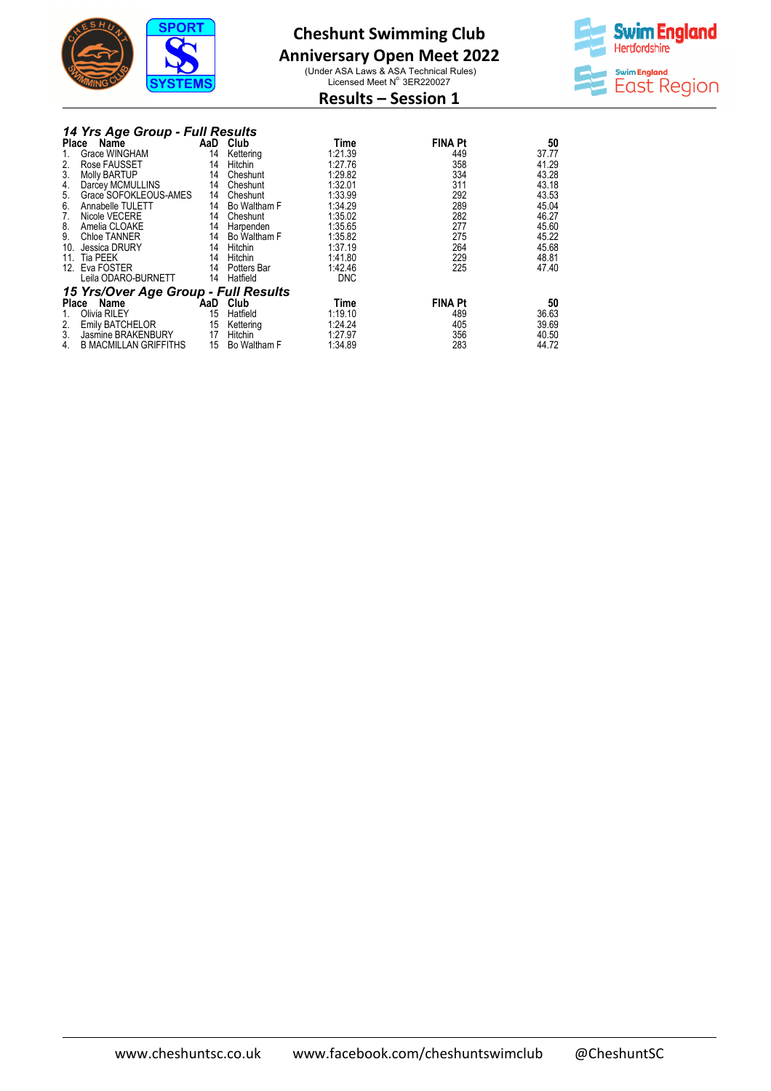

## **Anniversary Open Meet 2022**

(Under ASA Laws & ASA Technical Rules)<br>Licensed Meet N° 3ER220027



## **Results – Session 1**

|  |  | 14 Yrs Age Group - Full Results |
|--|--|---------------------------------|
|  |  |                                 |
|  |  |                                 |

|       |                                      |     | , ,,,,,,,,,,,,,,, |            |                |       |
|-------|--------------------------------------|-----|-------------------|------------|----------------|-------|
| Place | Name                                 | AaD | Club              | Time       | <b>FINA Pt</b> | 50    |
|       | Grace WINGHAM                        | 14  | Kettering         | 1:21.39    | 449            | 37.77 |
| 2.    | Rose FAUSSET                         | 14  | Hitchin           | 1:27.76    | 358            | 41.29 |
| 3.    | <b>Molly BARTUP</b>                  | 14  | Cheshunt          | 1:29.82    | 334            | 43.28 |
| 4.    | Darcey MCMULLINS                     | 14  | Cheshunt          | 1:32.01    | 311            | 43.18 |
| 5.    | Grace SOFOKLEOUS-AMES                | 14  | Cheshunt          | 1:33.99    | 292            | 43.53 |
| 6.    | Annabelle TULETT                     |     | 14 Bo Waltham F   | 1:34.29    | 289            | 45.04 |
| 7.    | Nicole VECERE                        | 14  | Cheshunt          | 1:35.02    | 282            | 46.27 |
| 8.    | Amelia CLOAKE                        | 14  | Harpenden         | 1:35.65    | 277            | 45.60 |
| 9.    | Chloe TANNER                         | 14  | Bo Waltham F      | 1:35.82    | 275            | 45.22 |
| 10.   | Jessica DRURY                        | 14  | Hitchin           | 1:37.19    | 264            | 45.68 |
| 11.   | <b>Tia PEEK</b>                      | 14  | Hitchin           | 1:41.80    | 229            | 48.81 |
|       | 12. Eva FOSTER                       | 14  | Potters Bar       | 1:42.46    | 225            | 47.40 |
|       | Leila ODARO-BURNETT                  |     | 14 Hatfield       | <b>DNC</b> |                |       |
|       | 15 Yrs/Over Age Group - Full Results |     |                   |            |                |       |
|       | Name<br>Place                        |     | AaD Club          | Time       | <b>FINA Pt</b> | 50    |
|       | Olivia RILEY                         | 15  | Hatfield          | 1:19.10    | 489            | 36.63 |
| 2.    | Emily BATCHELOR                      | 15  | Kettering         | 1:24.24    | 405            | 39.69 |
| 3.    | Jasmine BRAKENBURY                   | 17  | Hitchin           | 1:27.97    | 356            | 40.50 |
| 4.    | <b>B MACMILLAN GRIFFITHS</b>         | 15  | Bo Waltham F      | 1:34.89    | 283            | 44.72 |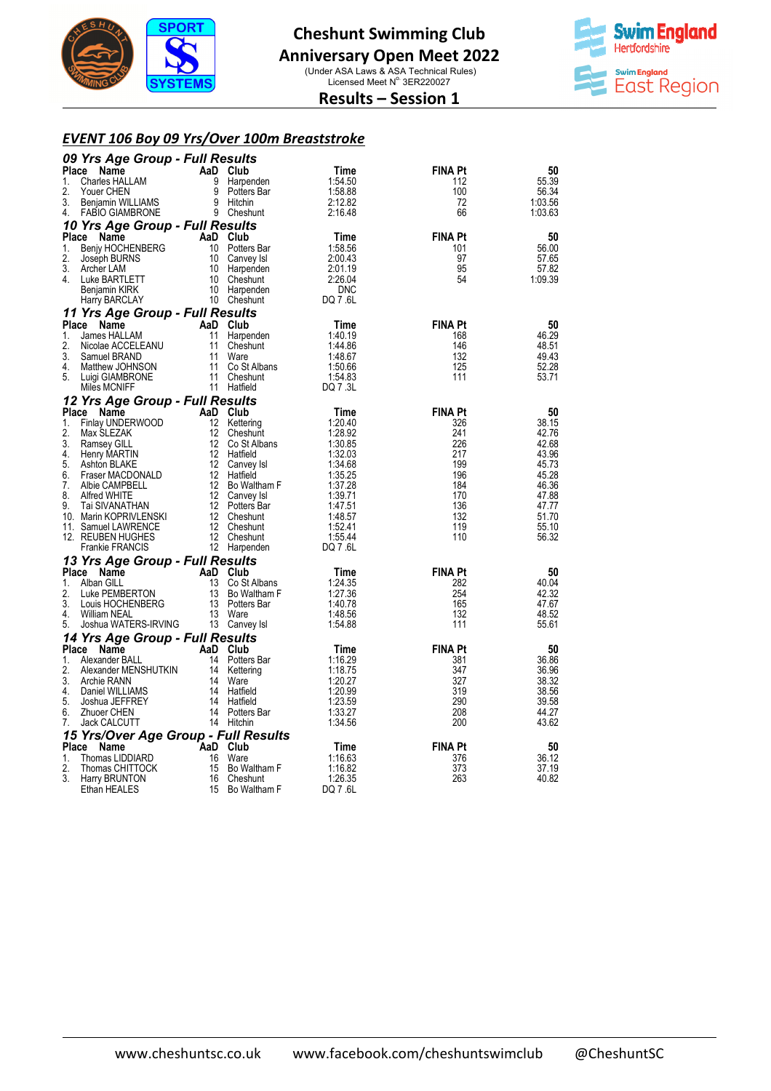

# **Cheshunt Swimming Club Anniversary Open Meet 2022**

(Under ASA Laws & ASA Technical Rules)<br>Licensed Meet N° 3ER220027



#### **Results – Session 1**

#### *EVENT 106 Boy 09 Yrs/Over 100m Breaststroke*

| 09 Yrs Age Group - Full Results                 |                       |                             |                    |                |                |
|-------------------------------------------------|-----------------------|-----------------------------|--------------------|----------------|----------------|
| Place<br>Name                                   |                       | AaD Club                    | Time               | <b>FINA Pt</b> | 50             |
| 1.<br><b>Charles HALLAM</b>                     | 9                     | Harpenden                   | 1:54.50            | 112            | 55.39          |
| 2.<br>Youer CHEN                                | 9                     | Potters Bar                 | 1:58.88            | 100            | 56.34          |
| 3.<br>Benjamin WILLIAMS<br>4.                   | 9                     | Hitchin                     | 2:12.82<br>2:16.48 | 72<br>66       | 1:03.56        |
| <b>FABIO GIAMBRONE</b>                          |                       | 9 Cheshunt                  |                    |                | 1:03.63        |
| 10 Yrs Age Group - Full Results<br><b>Place</b> |                       | AaD Club                    |                    | <b>FINA Pt</b> | 50             |
| Name<br>1.<br><b>Benjy HOCHENBERG</b>           | 10                    | Potters Bar                 | Time<br>1:58.56    | 101            | 56.00          |
| 2.<br>Joseph BURNS                              | 10                    | Canvey Isl                  | 2:00.43            | 97             | 57.65          |
| 3.<br>Archer LAM                                | 10                    | Harpenden                   | 2:01.19            | 95             | 57.82          |
| 4.<br>Luke BARTLETT                             | 10                    | Cheshunt                    | 2:26.04            | 54             | 1:09.39        |
| Benjamin KIRK                                   | 10                    | Harpenden                   | <b>DNC</b>         |                |                |
| Harry BARCLAY                                   |                       | 10 Cheshunt                 | DQ 7 .6L           |                |                |
| 11 Yrs Age Group - Full Results                 |                       |                             |                    |                |                |
| Place<br>Name                                   | AaD                   | Club                        | Time               | <b>FINA Pt</b> | 50             |
| $\mathbf{1}$ .<br>James HALLAM                  | 11                    | Harpenden                   | 1:40.19            | 168            | 46.29          |
| 2.<br>Nicolae ACCELEANU                         | 11                    | Cheshunt                    | 1:44.86            | 146            | 48.51          |
| 3.<br>Samuel BRAND<br>4.                        | 11<br>11              | Ware<br>Co St Albans        | 1:48.67<br>1:50.66 | 132<br>125     | 49.43<br>52.28 |
| Matthew JOHNSON<br>5.<br>Luigi GIAMBRONE        | 11                    | Cheshunt                    | 1:54.83            | 111            | 53.71          |
| Miles MCNIFF                                    |                       | 11 Hatfield                 | DQ 7 .3L           |                |                |
| 12 Yrs Age Group - Full Results                 |                       |                             |                    |                |                |
| Place<br>Name                                   | AaD                   | Club                        | Time               | <b>FINA Pt</b> | 50             |
| 1.<br>Finlay UNDERWOOD                          | 12                    | Kettering                   | 1:20.40            | 326            | 38.15          |
| 2.<br>Max SLEZAK                                | 12                    | Cheshunt                    | 1:28.92            | 241            | 42.76          |
| 3.<br>Ramsey GILL                               | 12                    | Co St Albans                | 1:30.85            | 226            | 42.68          |
| 4.<br>Henry MARTIN                              | 12                    | Hatfield                    | 1:32.03            | 217            | 43.96          |
| 5.<br>Ashton BLAKE                              | 12                    | Canvey Isl                  | 1:34.68            | 199            | 45.73          |
| 6.<br>Fraser MACDONALD<br>7.<br>Albie CAMPBELL  | 12 <sup>2</sup><br>12 | Hatfield<br>Bo Waltham F    | 1:35.25<br>1:37.28 | 196<br>184     | 45.28<br>46.36 |
| 8.<br>Alfred WHITE                              | 12                    | Canvey Isl                  | 1:39.71            | 170            | 47.88          |
| 9.<br>Tai SIVANATHAN                            | 12                    | Potters Bar                 | 1:47.51            | 136            | 47.77          |
| 10. Marin KOPRIVLENSKI                          | 12                    | Cheshunt                    | 1:48.57            | 132            | 51.70          |
| 11. Samuel LAWRENCE                             | 12                    | Cheshunt                    | 1:52.41            | 119            | 55.10          |
| 12. REUBEN HUGHES                               | 12                    | Cheshunt                    | 1:55.44            | 110            | 56.32          |
| <b>Frankie FRANCIS</b>                          |                       | 12 Harpenden                | DQ 7 .6L           |                |                |
| 13 Yrs Age Group - Full Results                 |                       |                             |                    |                |                |
| Place<br>Name                                   | AaD                   | Club                        | Time               | <b>FINA Pt</b> | 50             |
| 1.<br>Alban GILL<br>2.                          | 13<br>13              | Co St Albans                | 1:24.35            | 282<br>254     | 40.04          |
| Luke PEMBERTON<br>3.<br>Louis HOCHENBERG        | 13                    | Bo Waltham F<br>Potters Bar | 1:27.36<br>1:40.78 | 165            | 42.32<br>47.67 |
| 4.<br>William NEAL                              | 13                    | Ware                        | 1:48.56            | 132            | 48.52          |
| 5.<br>Joshua WATERS-IRVING                      |                       | 13 Canvey Isl               | 1:54.88            | 111            | 55.61          |
| 14 Yrs Age Group - Full Results                 |                       |                             |                    |                |                |
| Place<br>Name                                   | AaD                   | Club                        | Time               | <b>FINA Pt</b> | 50             |
| 1.<br>Alexander BALL                            | 14                    | Potters Bar                 | 1:16.29            | 381            | 36.86          |
| 2.<br>Alexander MENSHUTKIN                      | 14                    | Kettering                   | 1:18.75            | 347            | 36.96          |
| 3.<br>Archie RANN                               | 14                    | Ware                        | 1:20.27            | 327            | 38.32          |
| 4.<br>Daniel WILLIAMS                           | 14                    | Hatfield                    | 1:20.99            | 319            | 38.56          |
| 5.<br>Joshua JEFFREY<br>6.<br>Zhuoer CHEN       | 14                    | Hatfield<br>14 Potters Bar  | 1:23.59<br>1:33.27 | 290<br>208     | 39.58<br>44.27 |
| 7.<br>Jack CALCUTT                              |                       | 14 Hitchin                  | 1:34.56            | 200            | 43.62          |
| 15 Yrs/Over Age Group - Full Results            |                       |                             |                    |                |                |
| Place<br>Name                                   |                       | AaD Club                    | Time               | <b>FINA Pt</b> | 50             |
| Thomas LIDDIARD<br>1.                           | 16                    | Ware                        | 1:16.63            | 376            | 36.12          |
| 2.<br>Thomas CHITTOCK                           | 15                    | Bo Waltham F                | 1:16.82            | 373            | 37.19          |
| 3.<br>Harry BRUNTON                             | 16                    | Cheshunt                    | 1:26.35            | 263            | 40.82          |
| Ethan HEALES                                    | 15                    | Bo Waltham F                | DQ 7 .6L           |                |                |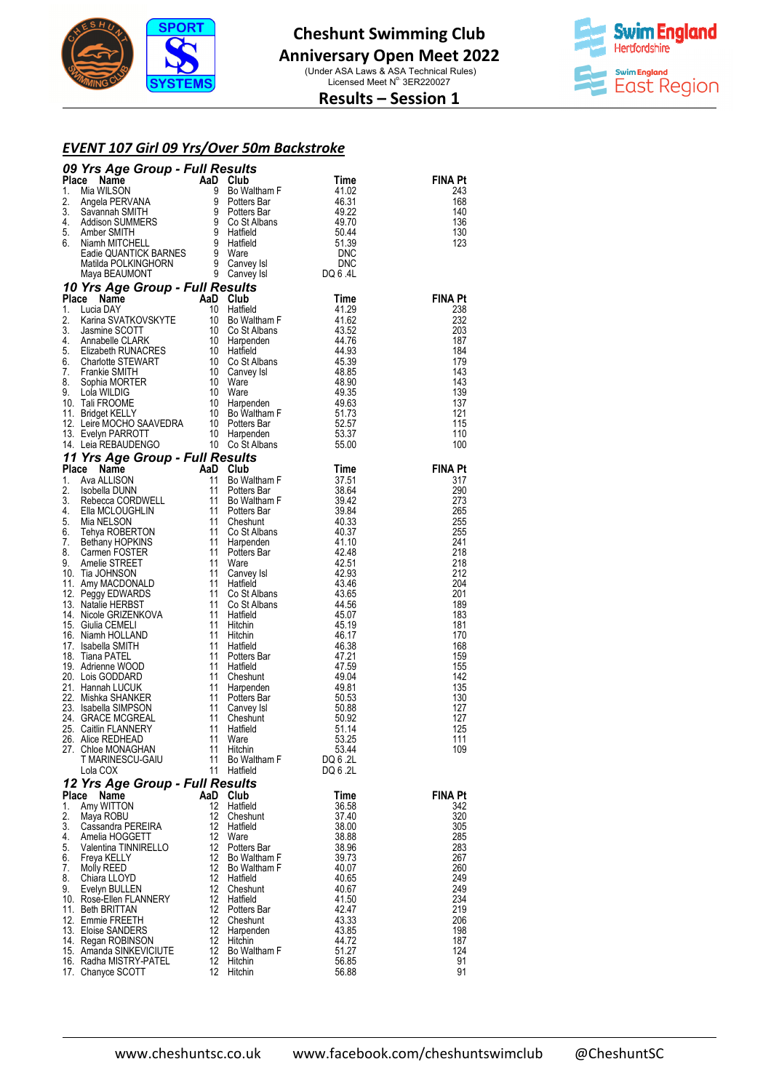



## **Results – Session 1**

#### *EVENT 107 Girl 09 Yrs/Over 50m Backstroke Over*

| <b>00 Yrs Age Group - Full Results</b><br>The Samman SMITH and Substitute Time<br>2. Angle PERVANA 8 Politics are 44.631<br>2. Angle PERVANA 8 Politics are 46.31<br>2. Angle PERVANA 9 Politics are 46.32<br>4. Addison SUMMERS 9 Co. St Alb |                                                   |            |                                                                                   |                   |                |  |
|-----------------------------------------------------------------------------------------------------------------------------------------------------------------------------------------------------------------------------------------------|---------------------------------------------------|------------|-----------------------------------------------------------------------------------|-------------------|----------------|--|
|                                                                                                                                                                                                                                               |                                                   |            |                                                                                   |                   | <b>FINA Pt</b> |  |
|                                                                                                                                                                                                                                               |                                                   |            |                                                                                   |                   | 243<br>168     |  |
|                                                                                                                                                                                                                                               |                                                   |            |                                                                                   |                   | 140            |  |
|                                                                                                                                                                                                                                               |                                                   |            |                                                                                   |                   | 136            |  |
|                                                                                                                                                                                                                                               |                                                   |            |                                                                                   |                   | 130            |  |
|                                                                                                                                                                                                                                               |                                                   |            |                                                                                   |                   | 123            |  |
|                                                                                                                                                                                                                                               |                                                   |            |                                                                                   |                   |                |  |
|                                                                                                                                                                                                                                               |                                                   |            |                                                                                   |                   |                |  |
|                                                                                                                                                                                                                                               |                                                   |            |                                                                                   |                   |                |  |
|                                                                                                                                                                                                                                               |                                                   |            |                                                                                   |                   | <b>FINA Pt</b> |  |
|                                                                                                                                                                                                                                               |                                                   |            |                                                                                   |                   | 238<br>232     |  |
|                                                                                                                                                                                                                                               |                                                   |            |                                                                                   |                   | 203            |  |
|                                                                                                                                                                                                                                               |                                                   |            |                                                                                   |                   | 187            |  |
|                                                                                                                                                                                                                                               |                                                   |            |                                                                                   |                   | 184<br>179     |  |
|                                                                                                                                                                                                                                               |                                                   |            |                                                                                   |                   | 143            |  |
|                                                                                                                                                                                                                                               |                                                   |            |                                                                                   |                   | 143            |  |
|                                                                                                                                                                                                                                               |                                                   |            |                                                                                   |                   | 139            |  |
|                                                                                                                                                                                                                                               |                                                   |            |                                                                                   |                   | 137<br>121     |  |
|                                                                                                                                                                                                                                               |                                                   |            |                                                                                   |                   | 115            |  |
|                                                                                                                                                                                                                                               |                                                   |            |                                                                                   |                   | 110            |  |
|                                                                                                                                                                                                                                               |                                                   |            |                                                                                   |                   | 100            |  |
|                                                                                                                                                                                                                                               |                                                   |            |                                                                                   |                   | <b>FINA Pt</b> |  |
|                                                                                                                                                                                                                                               |                                                   |            |                                                                                   |                   | 317            |  |
|                                                                                                                                                                                                                                               |                                                   |            |                                                                                   |                   | 290            |  |
|                                                                                                                                                                                                                                               |                                                   |            |                                                                                   |                   | 273            |  |
|                                                                                                                                                                                                                                               |                                                   |            |                                                                                   |                   | 265<br>255     |  |
|                                                                                                                                                                                                                                               |                                                   |            |                                                                                   |                   | 255            |  |
|                                                                                                                                                                                                                                               |                                                   |            |                                                                                   |                   | 241            |  |
|                                                                                                                                                                                                                                               |                                                   |            |                                                                                   |                   | 218            |  |
|                                                                                                                                                                                                                                               |                                                   |            |                                                                                   |                   | 218<br>212     |  |
|                                                                                                                                                                                                                                               |                                                   |            |                                                                                   |                   | 204            |  |
|                                                                                                                                                                                                                                               |                                                   |            |                                                                                   |                   | 201            |  |
|                                                                                                                                                                                                                                               |                                                   |            |                                                                                   |                   | 189<br>183     |  |
|                                                                                                                                                                                                                                               |                                                   |            |                                                                                   |                   | 181            |  |
|                                                                                                                                                                                                                                               |                                                   |            |                                                                                   |                   | 170            |  |
|                                                                                                                                                                                                                                               |                                                   |            |                                                                                   |                   | 168            |  |
|                                                                                                                                                                                                                                               |                                                   |            |                                                                                   |                   | 159<br>155     |  |
|                                                                                                                                                                                                                                               |                                                   |            |                                                                                   |                   | 142            |  |
|                                                                                                                                                                                                                                               |                                                   |            |                                                                                   |                   | 135            |  |
|                                                                                                                                                                                                                                               |                                                   |            |                                                                                   |                   | 130<br>127     |  |
|                                                                                                                                                                                                                                               |                                                   |            |                                                                                   |                   | 127            |  |
|                                                                                                                                                                                                                                               |                                                   |            |                                                                                   |                   | 125            |  |
|                                                                                                                                                                                                                                               |                                                   |            |                                                                                   |                   | 111            |  |
|                                                                                                                                                                                                                                               | 27. Chloe MONAGHAN<br>T MARINESCU-GAIU            |            | 11 Hitchin<br>11 Bo Waltham F                                                     | 53.44<br>DQ 6 .2L | 109            |  |
|                                                                                                                                                                                                                                               | Lola COX                                          |            | 11 Hatfield                                                                       | DQ 6 .2L          |                |  |
|                                                                                                                                                                                                                                               | 12 Yrs Age Group - Full Results                   |            |                                                                                   |                   |                |  |
|                                                                                                                                                                                                                                               | Place Name                                        | AaD Club   |                                                                                   | Time              | <b>FINA Pt</b> |  |
| 1.<br>2.                                                                                                                                                                                                                                      | Amy WITTON<br>Maya ROBU                           |            | 12 Hatfield<br>12 Cheshunt                                                        | 36.58<br>37.40    | 342<br>320     |  |
|                                                                                                                                                                                                                                               | 3. Cassandra PEREIRA                              |            | 12 Hatfield                                                                       | 38.00             | 305            |  |
| 4.                                                                                                                                                                                                                                            | Amelia HOGGETT                                    |            | 12 Ware                                                                           | 38.88             | 285            |  |
|                                                                                                                                                                                                                                               | 5. Valentina TINNIRELLO                           |            | 12 Potters Bar                                                                    | 38.96             | 283            |  |
|                                                                                                                                                                                                                                               | 6. Freya KELLY<br>7. Molly REED                   |            | 12 Bo Waltham F<br>12 Du wurden:<br>12 Bo Waltham F<br>12 Hatfield<br>12 Cheshunt | 39.73<br>40.07    | 267<br>260     |  |
|                                                                                                                                                                                                                                               | 8. Chiara LLOYD                                   |            |                                                                                   | 40.65             | 249            |  |
|                                                                                                                                                                                                                                               | 9. Evelyn BULLEN                                  |            |                                                                                   | 40.67             | 249            |  |
|                                                                                                                                                                                                                                               | 10. Rose-Ellen FLANNERY                           | 12         | Hatfield                                                                          | 41.50             | 234            |  |
|                                                                                                                                                                                                                                               | 11. Beth BRITTAN<br>12. Emmie FREETH              |            | 12 Potters Bar                                                                    | 42.47<br>43.33    | 219<br>206     |  |
|                                                                                                                                                                                                                                               | 13. Eloise SANDERS                                |            | 12 Cheshunt<br>12 Harpenden<br>12 Hitchin                                         | 43.85             | 198            |  |
|                                                                                                                                                                                                                                               | 14. Regan ROBINSON                                |            |                                                                                   | 44.72             | 187            |  |
|                                                                                                                                                                                                                                               | 15. Amanda SINKEVICIUTE<br>16. Radha MISTRY-PATEL | 12 Hitchin | 12 Bo Waltham F                                                                   | 51.27             | 124<br>91      |  |
|                                                                                                                                                                                                                                               | 17. Chanyce SCOTT                                 |            | 12 Hitchin                                                                        | 56.85<br>56.88    | 91             |  |
|                                                                                                                                                                                                                                               |                                                   |            |                                                                                   |                   |                |  |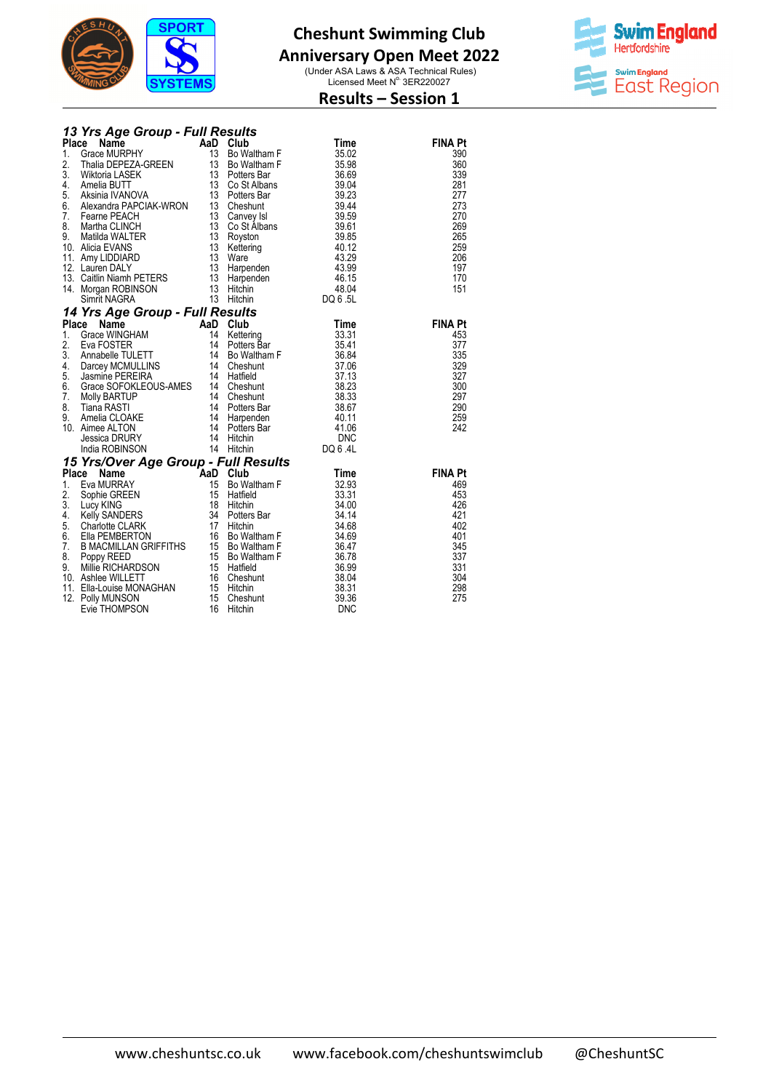

## **Anniversary Open Meet 2022**

(Under ASA Laws & ASA Technical Rules)<br>Licensed Meet N° 3ER220027



# **Results – Session 1**

|  |  | 13 Yrs Age Group - Full Results |
|--|--|---------------------------------|
|  |  |                                 |

| <b>Place Name AaD Club Time</b><br>1. Grace MURPHY 13 Bo Waltham F 35.02<br>2. Thalia DEPEZA-GREEN 13 Bo Waltham F 35.02<br>13 Bo Waltham F 35.98<br>4. Amelia BUTT 13 Potters Bar 30.04<br>4. Amelia BUTT 13 Co St Albans 39.04<br>5. Alexandr        |  | <b>FINA Pt</b>        |
|--------------------------------------------------------------------------------------------------------------------------------------------------------------------------------------------------------------------------------------------------------|--|-----------------------|
|                                                                                                                                                                                                                                                        |  | 390                   |
|                                                                                                                                                                                                                                                        |  | 360                   |
|                                                                                                                                                                                                                                                        |  | 339                   |
|                                                                                                                                                                                                                                                        |  | 281<br>277            |
|                                                                                                                                                                                                                                                        |  | 273                   |
|                                                                                                                                                                                                                                                        |  | 270                   |
|                                                                                                                                                                                                                                                        |  | 269                   |
|                                                                                                                                                                                                                                                        |  | 265                   |
|                                                                                                                                                                                                                                                        |  | 259                   |
|                                                                                                                                                                                                                                                        |  | 206                   |
|                                                                                                                                                                                                                                                        |  | 197                   |
|                                                                                                                                                                                                                                                        |  | 170                   |
|                                                                                                                                                                                                                                                        |  | 151                   |
|                                                                                                                                                                                                                                                        |  |                       |
| Simit NAGRA<br>13 Hitchin<br>Place Name<br>14 Yrs Age Group - Full Results<br>15 Crace WINGHAM<br>14 Mettering<br>2. Eva FOSTER<br>14 Darcey MCMULLINS<br>14 Darcey MCMULLINS<br>5. Jasmine PEREIRA<br>4. Darcey MCMULLINS<br>5. Jasmine PEREIRA<br>14 |  |                       |
|                                                                                                                                                                                                                                                        |  | <b>FINA Pt</b><br>453 |
|                                                                                                                                                                                                                                                        |  | 377                   |
|                                                                                                                                                                                                                                                        |  | 335                   |
|                                                                                                                                                                                                                                                        |  | 329                   |
|                                                                                                                                                                                                                                                        |  | 327                   |
|                                                                                                                                                                                                                                                        |  | 300                   |
|                                                                                                                                                                                                                                                        |  | 297                   |
|                                                                                                                                                                                                                                                        |  | 290                   |
|                                                                                                                                                                                                                                                        |  | 259                   |
|                                                                                                                                                                                                                                                        |  | 242                   |
|                                                                                                                                                                                                                                                        |  |                       |
|                                                                                                                                                                                                                                                        |  |                       |
|                                                                                                                                                                                                                                                        |  | <b>FINA Pt</b>        |
|                                                                                                                                                                                                                                                        |  | 469                   |
|                                                                                                                                                                                                                                                        |  | 453                   |
|                                                                                                                                                                                                                                                        |  | 426                   |
|                                                                                                                                                                                                                                                        |  | 421                   |
|                                                                                                                                                                                                                                                        |  | 402                   |
|                                                                                                                                                                                                                                                        |  | 401                   |
|                                                                                                                                                                                                                                                        |  | 345                   |
|                                                                                                                                                                                                                                                        |  | 337<br>331            |
|                                                                                                                                                                                                                                                        |  | 304                   |
|                                                                                                                                                                                                                                                        |  | 298                   |
|                                                                                                                                                                                                                                                        |  | 275                   |
| 14 Hitchin<br>15 Yrs/Over Age Group - Full Results<br>2. Eva Mure and Cube<br>15 Yrs/Over Age Group - Full Results<br>15 Bo Waltham F<br>2. Sophie GREEN<br>15 Bo Waltham F<br>3.3.93<br>2. Sophie GREEN<br>15 Hatfield<br>4. Kelly SANDERS<br>4. Ch   |  |                       |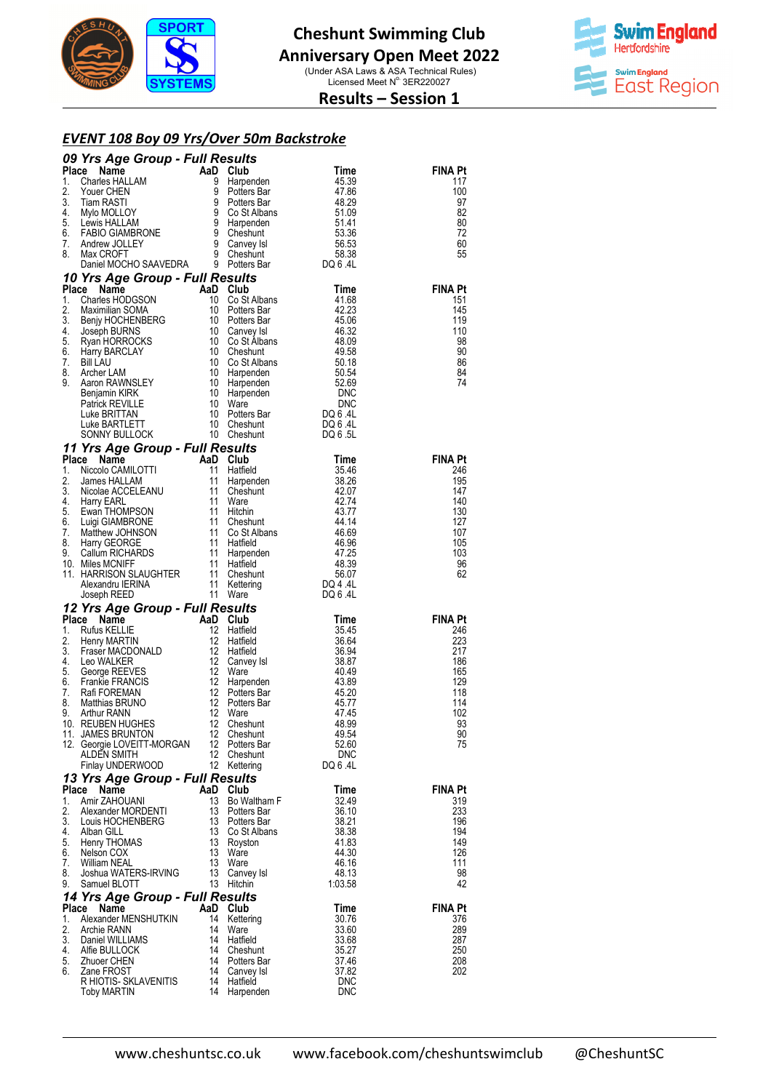



## **Results – Session 1**

#### *EVENT 108 Boy 09 Yrs/Over 50m Backstroke*

|          | <b>09 Yrs Age Group - Full Results<br/> 1.</b> Charles HAILAM<br>1. Charles HAILAM<br>1. Charles HAILAM<br>1. Charles HAILAM<br>1. Star RASTI<br>1. Star RASTI<br>1. Star RASTI<br>1. Star RASTI<br>1. Star CROCHINGRONE<br>1. Lewis HAILAM<br>1. Andrew JO                                                                                                                                                                                                                  |          |                                                                                         |                                                                              |                |
|----------|------------------------------------------------------------------------------------------------------------------------------------------------------------------------------------------------------------------------------------------------------------------------------------------------------------------------------------------------------------------------------------------------------------------------------------------------------------------------------|----------|-----------------------------------------------------------------------------------------|------------------------------------------------------------------------------|----------------|
|          |                                                                                                                                                                                                                                                                                                                                                                                                                                                                              |          |                                                                                         |                                                                              | <b>FINA Pt</b> |
|          |                                                                                                                                                                                                                                                                                                                                                                                                                                                                              |          |                                                                                         |                                                                              | 117<br>100     |
|          |                                                                                                                                                                                                                                                                                                                                                                                                                                                                              |          |                                                                                         |                                                                              | 97             |
|          |                                                                                                                                                                                                                                                                                                                                                                                                                                                                              |          |                                                                                         |                                                                              | 82             |
|          |                                                                                                                                                                                                                                                                                                                                                                                                                                                                              |          |                                                                                         |                                                                              | 80<br>72       |
|          |                                                                                                                                                                                                                                                                                                                                                                                                                                                                              |          |                                                                                         |                                                                              | 60             |
|          |                                                                                                                                                                                                                                                                                                                                                                                                                                                                              |          |                                                                                         |                                                                              | 55             |
|          |                                                                                                                                                                                                                                                                                                                                                                                                                                                                              |          |                                                                                         |                                                                              |                |
|          |                                                                                                                                                                                                                                                                                                                                                                                                                                                                              |          |                                                                                         |                                                                              | <b>FINA Pt</b> |
|          |                                                                                                                                                                                                                                                                                                                                                                                                                                                                              |          |                                                                                         |                                                                              | 151            |
|          |                                                                                                                                                                                                                                                                                                                                                                                                                                                                              |          |                                                                                         |                                                                              | 145            |
|          |                                                                                                                                                                                                                                                                                                                                                                                                                                                                              |          |                                                                                         |                                                                              | 119            |
|          |                                                                                                                                                                                                                                                                                                                                                                                                                                                                              |          |                                                                                         |                                                                              | 110<br>98      |
|          |                                                                                                                                                                                                                                                                                                                                                                                                                                                                              |          |                                                                                         |                                                                              | 90             |
|          |                                                                                                                                                                                                                                                                                                                                                                                                                                                                              |          |                                                                                         |                                                                              | 86             |
|          |                                                                                                                                                                                                                                                                                                                                                                                                                                                                              |          |                                                                                         |                                                                              | 84<br>74       |
|          |                                                                                                                                                                                                                                                                                                                                                                                                                                                                              |          |                                                                                         |                                                                              |                |
|          |                                                                                                                                                                                                                                                                                                                                                                                                                                                                              |          |                                                                                         |                                                                              |                |
|          |                                                                                                                                                                                                                                                                                                                                                                                                                                                                              |          |                                                                                         |                                                                              |                |
|          |                                                                                                                                                                                                                                                                                                                                                                                                                                                                              |          |                                                                                         |                                                                              |                |
|          |                                                                                                                                                                                                                                                                                                                                                                                                                                                                              |          |                                                                                         |                                                                              |                |
|          |                                                                                                                                                                                                                                                                                                                                                                                                                                                                              |          |                                                                                         |                                                                              | <b>FINA Pt</b> |
|          |                                                                                                                                                                                                                                                                                                                                                                                                                                                                              |          |                                                                                         |                                                                              | 246<br>195     |
|          |                                                                                                                                                                                                                                                                                                                                                                                                                                                                              |          |                                                                                         |                                                                              | 147            |
|          |                                                                                                                                                                                                                                                                                                                                                                                                                                                                              |          |                                                                                         |                                                                              | 140            |
|          |                                                                                                                                                                                                                                                                                                                                                                                                                                                                              |          |                                                                                         |                                                                              | 130<br>127     |
|          |                                                                                                                                                                                                                                                                                                                                                                                                                                                                              |          |                                                                                         |                                                                              | 107            |
|          |                                                                                                                                                                                                                                                                                                                                                                                                                                                                              |          |                                                                                         |                                                                              | 105            |
|          |                                                                                                                                                                                                                                                                                                                                                                                                                                                                              |          |                                                                                         |                                                                              | 103<br>96      |
|          |                                                                                                                                                                                                                                                                                                                                                                                                                                                                              |          |                                                                                         |                                                                              | 62             |
|          |                                                                                                                                                                                                                                                                                                                                                                                                                                                                              |          |                                                                                         |                                                                              |                |
|          |                                                                                                                                                                                                                                                                                                                                                                                                                                                                              |          |                                                                                         |                                                                              |                |
|          | Joseph REEL<br><b>12 Yrs Age Group - Full Results<br/> Place Name AaD Club<br/> 12 Hatfield<br/> 2. Henry MARTIN 12 Hatfield<br/> 3. Fraser MACDONALD 12 Hatfield<br/> 4. Leo WALKER 12 Canvey Isl<br/> 5. George REEVES 12 Ware</b><br><b>Example State of Comparison CREATING COMPLEMENT AND CLUB COMPUTER CREATING CONSUMING THE SERVICE OF STATE CREATING CONSUMING CONSUMING CONSUMING CONSUMING CONSUMING CONSUMING CONSUMING CONSUMING CONSUMING CONSUMING CONSUM</b> |          |                                                                                         | Time                                                                         | <b>FINA Pt</b> |
|          |                                                                                                                                                                                                                                                                                                                                                                                                                                                                              |          |                                                                                         | Time<br>35.45<br>36.64<br>36.94<br>38.87<br>43.89<br>45.20<br>45.77<br>47.45 | 246            |
|          |                                                                                                                                                                                                                                                                                                                                                                                                                                                                              |          |                                                                                         |                                                                              | 223            |
|          |                                                                                                                                                                                                                                                                                                                                                                                                                                                                              |          |                                                                                         |                                                                              | 217<br>186     |
|          |                                                                                                                                                                                                                                                                                                                                                                                                                                                                              |          |                                                                                         |                                                                              | 165            |
| 6.<br>7. |                                                                                                                                                                                                                                                                                                                                                                                                                                                                              |          | ware<br>Harpenden                                                                       |                                                                              | 129            |
| 8.       |                                                                                                                                                                                                                                                                                                                                                                                                                                                                              |          |                                                                                         |                                                                              | 118<br>114     |
| 9.       |                                                                                                                                                                                                                                                                                                                                                                                                                                                                              |          |                                                                                         |                                                                              | 102            |
|          | 10. REUBEN HUGHES                                                                                                                                                                                                                                                                                                                                                                                                                                                            |          |                                                                                         | 48.99                                                                        | 93             |
|          | 11. JAMES BRUNTON<br>12. Georgie LOVEITT-MORGAN                                                                                                                                                                                                                                                                                                                                                                                                                              | 12       | 12 Cheshunt<br>Potters Bar                                                              | 49.54<br>52.60                                                               | 90<br>75       |
|          | ALDEN SMITH                                                                                                                                                                                                                                                                                                                                                                                                                                                                  |          | 12 Cheshunt                                                                             | <b>DNC</b>                                                                   |                |
|          | Finlay UNDERWOOD                                                                                                                                                                                                                                                                                                                                                                                                                                                             |          | 12 Kettering                                                                            | DQ 6 .4L                                                                     |                |
|          | 13 Yrs Age Group - Full Results<br>Place Name                                                                                                                                                                                                                                                                                                                                                                                                                                | AaD Club |                                                                                         | Time                                                                         | <b>FINA Pt</b> |
| 1.       | Amir ZAHOUANI                                                                                                                                                                                                                                                                                                                                                                                                                                                                |          | 13 Bo Waltham F                                                                         | 32.49                                                                        | 319            |
| 2.       | Alexander MORDENTI                                                                                                                                                                                                                                                                                                                                                                                                                                                           |          | 13 Potters Bar<br>13 Potters Bar<br>13 Co St Albans<br>13 Noyston<br>13 Ware<br>12 Ware | 36.10                                                                        | 233            |
|          | 2. Alexander MONDERTT                                                                                                                                                                                                                                                                                                                                                                                                                                                        |          |                                                                                         | 38.21                                                                        | 196<br>194     |
|          | 4. Alban GILL<br>5. Henry THOMAS                                                                                                                                                                                                                                                                                                                                                                                                                                             |          |                                                                                         | 38.38<br>41.83                                                               | 149            |
| 6.       | Nelson COX                                                                                                                                                                                                                                                                                                                                                                                                                                                                   |          |                                                                                         | 44.30                                                                        | 126            |
|          | 7. William NEAL                                                                                                                                                                                                                                                                                                                                                                                                                                                              |          |                                                                                         | 46.16                                                                        | 111            |
| 8.<br>9. | Joshua WATERS-IRVING<br>Samuel BLOTT                                                                                                                                                                                                                                                                                                                                                                                                                                         |          | 13 Canvey Isl<br>13 Hitchin                                                             | 48.13<br>1:03.58                                                             | 98<br>42       |
|          | 14 Yrs Age Group - Full Results                                                                                                                                                                                                                                                                                                                                                                                                                                              |          |                                                                                         |                                                                              |                |
|          | Place Name                                                                                                                                                                                                                                                                                                                                                                                                                                                                   | AaD Club |                                                                                         | Time                                                                         | <b>FINA Pt</b> |
| 1.       | Alexander MENSHUTKIN                                                                                                                                                                                                                                                                                                                                                                                                                                                         |          | 14 Kettering                                                                            | 30.76                                                                        | 376            |
| 2.       | Archie RANN<br>3. Daniel WILLIAMS                                                                                                                                                                                                                                                                                                                                                                                                                                            | 14       | 14 Ware<br>Hatfield                                                                     | 33.60<br>33.68                                                               | 289<br>287     |
| 4.       | Alfie BULLOCK                                                                                                                                                                                                                                                                                                                                                                                                                                                                |          |                                                                                         | 35.27                                                                        | 250            |
| 5.       | Zhuoer CHEN                                                                                                                                                                                                                                                                                                                                                                                                                                                                  |          | 14 Cheshunt<br>14 Potters Bar<br>14 Canvey Isl                                          | 37.46                                                                        | 208            |
| 6.       | Zane FROST<br>R HIOTIS- SKLAVENITIS 14 Hatfield                                                                                                                                                                                                                                                                                                                                                                                                                              |          |                                                                                         | 37.82<br>DNC                                                                 | 202            |
|          | <b>Toby MARTIN</b>                                                                                                                                                                                                                                                                                                                                                                                                                                                           |          | 14 Harpenden                                                                            | <b>DNC</b>                                                                   |                |